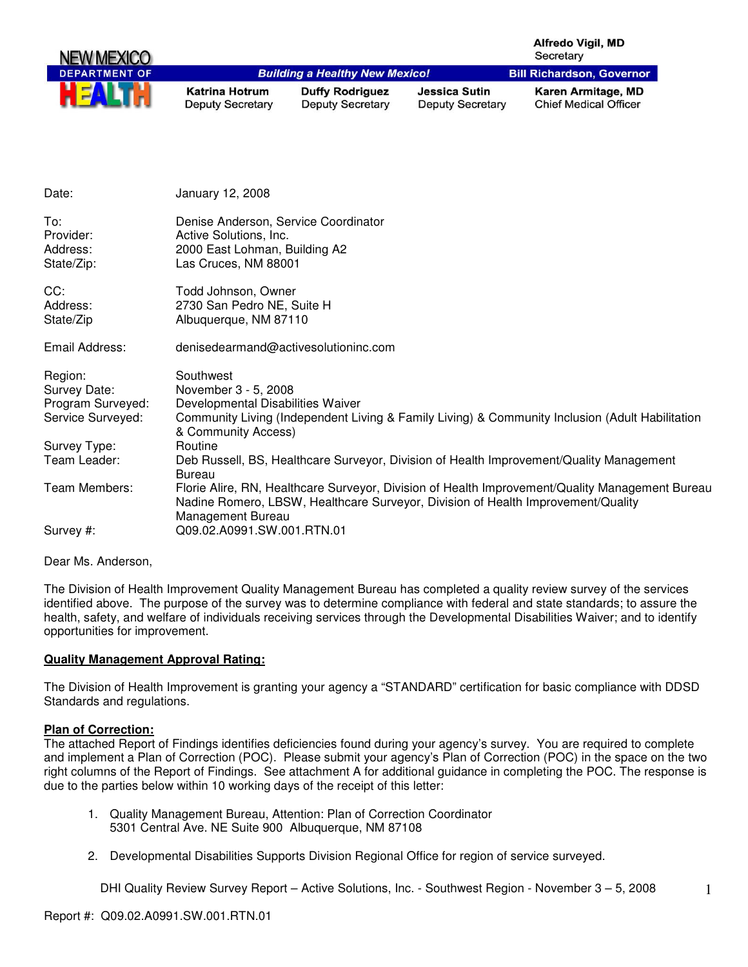| NEW MEXICO           |                                                  |                                                   |                                                 | <b>Alfredo Vigil, MD</b><br>Secretary              |
|----------------------|--------------------------------------------------|---------------------------------------------------|-------------------------------------------------|----------------------------------------------------|
| <b>DEPARTMENT OF</b> |                                                  | <b>Building a Healthy New Mexico!</b>             |                                                 | <b>Bill Richardson, Governor</b>                   |
|                      | <b>Katrina Hotrum</b><br><b>Deputy Secretary</b> | <b>Duffy Rodriguez</b><br><b>Deputy Secretary</b> | <b>Jessica Sutin</b><br><b>Deputy Secretary</b> | Karen Armitage, MD<br><b>Chief Medical Officer</b> |

| Date:                                                             | January 12, 2008                                                                                                                                                                                         |
|-------------------------------------------------------------------|----------------------------------------------------------------------------------------------------------------------------------------------------------------------------------------------------------|
| To:<br>Provider:<br>Address:<br>State/Zip:                        | Denise Anderson, Service Coordinator<br>Active Solutions, Inc.<br>2000 East Lohman, Building A2<br>Las Cruces, NM 88001                                                                                  |
| CC:<br>Address:<br>State/Zip                                      | Todd Johnson, Owner<br>2730 San Pedro NE, Suite H<br>Albuquerque, NM 87110                                                                                                                               |
| Email Address:                                                    | denisedearmand@activesolutioninc.com                                                                                                                                                                     |
| Region:<br>Survey Date:<br>Program Surveyed:<br>Service Surveyed: | Southwest<br>November 3 - 5, 2008<br>Developmental Disabilities Waiver<br>Community Living (Independent Living & Family Living) & Community Inclusion (Adult Habilitation<br>& Community Access)         |
| Survey Type:                                                      | Routine                                                                                                                                                                                                  |
| Team Leader:                                                      | Deb Russell, BS, Healthcare Surveyor, Division of Health Improvement/Quality Management<br>Bureau                                                                                                        |
| Team Members:                                                     | Florie Alire, RN, Healthcare Surveyor, Division of Health Improvement/Quality Management Bureau<br>Nadine Romero, LBSW, Healthcare Surveyor, Division of Health Improvement/Quality<br>Management Bureau |
| Survey #:                                                         | Q09.02.A0991.SW.001.RTN.01                                                                                                                                                                               |

Dear Ms. Anderson,

The Division of Health Improvement Quality Management Bureau has completed a quality review survey of the services identified above. The purpose of the survey was to determine compliance with federal and state standards; to assure the health, safety, and welfare of individuals receiving services through the Developmental Disabilities Waiver; and to identify opportunities for improvement.

#### **Quality Management Approval Rating:**

The Division of Health Improvement is granting your agency a "STANDARD" certification for basic compliance with DDSD Standards and regulations.

#### **Plan of Correction:**

The attached Report of Findings identifies deficiencies found during your agency's survey. You are required to complete and implement a Plan of Correction (POC). Please submit your agency's Plan of Correction (POC) in the space on the two right columns of the Report of Findings. See attachment A for additional guidance in completing the POC. The response is due to the parties below within 10 working days of the receipt of this letter:

- 1. Quality Management Bureau, Attention: Plan of Correction Coordinator 5301 Central Ave. NE Suite 900 Albuquerque, NM 87108
- 2. Developmental Disabilities Supports Division Regional Office for region of service surveyed.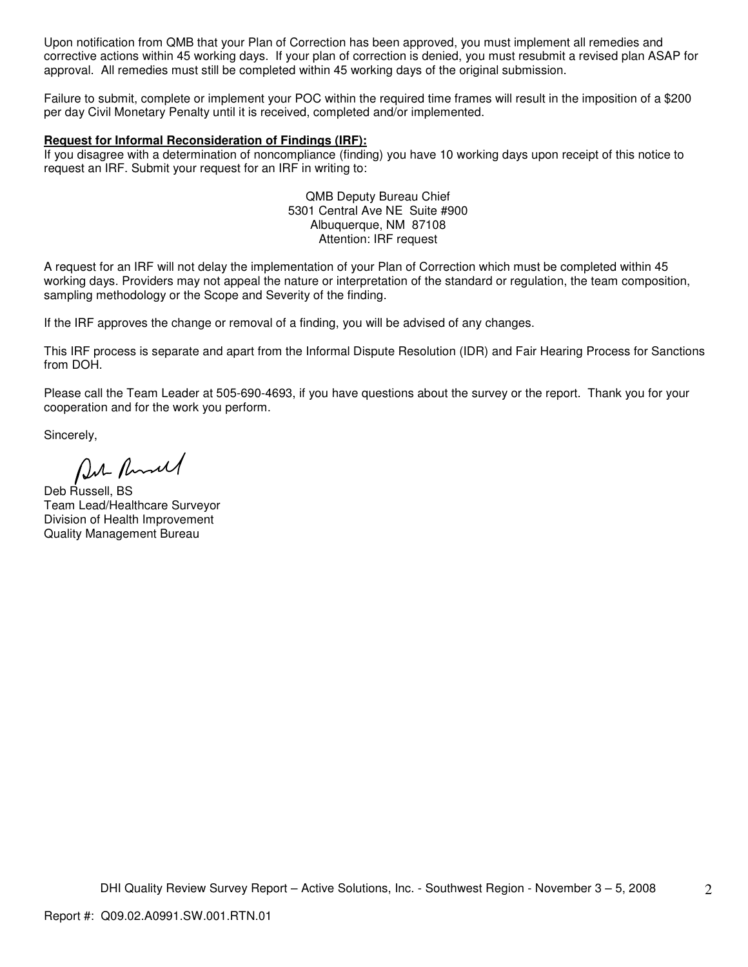Upon notification from QMB that your Plan of Correction has been approved, you must implement all remedies and corrective actions within 45 working days. If your plan of correction is denied, you must resubmit a revised plan ASAP for approval. All remedies must still be completed within 45 working days of the original submission.

Failure to submit, complete or implement your POC within the required time frames will result in the imposition of a \$200 per day Civil Monetary Penalty until it is received, completed and/or implemented.

#### **Request for Informal Reconsideration of Findings (IRF):**

If you disagree with a determination of noncompliance (finding) you have 10 working days upon receipt of this notice to request an IRF. Submit your request for an IRF in writing to:

> QMB Deputy Bureau Chief 5301 Central Ave NE Suite #900 Albuquerque, NM 87108 Attention: IRF request

A request for an IRF will not delay the implementation of your Plan of Correction which must be completed within 45 working days. Providers may not appeal the nature or interpretation of the standard or regulation, the team composition, sampling methodology or the Scope and Severity of the finding.

If the IRF approves the change or removal of a finding, you will be advised of any changes.

This IRF process is separate and apart from the Informal Dispute Resolution (IDR) and Fair Hearing Process for Sanctions from DOH.

Please call the Team Leader at 505-690-4693, if you have questions about the survey or the report. Thank you for your cooperation and for the work you perform.

Sincerely,

Put Runnel

Deb Russell, BS Team Lead/Healthcare Surveyor Division of Health Improvement Quality Management Bureau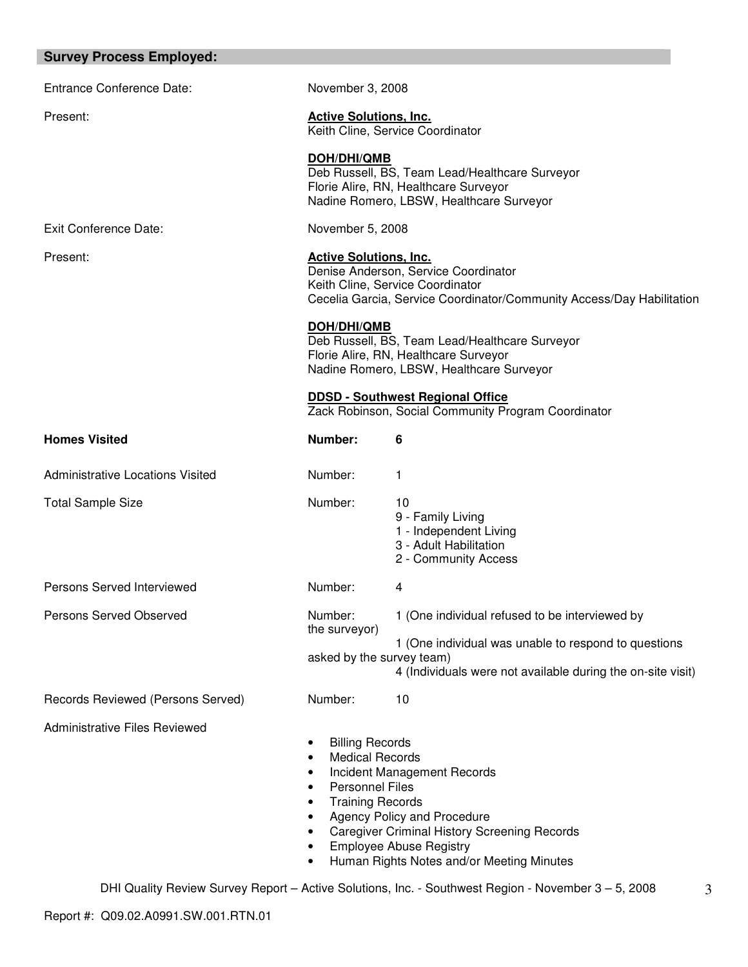| <b>Survey Process Employed:</b>         |                                                                                                                                                                                    |                                                                                                                                                                                                  |
|-----------------------------------------|------------------------------------------------------------------------------------------------------------------------------------------------------------------------------------|--------------------------------------------------------------------------------------------------------------------------------------------------------------------------------------------------|
| <b>Entrance Conference Date:</b>        | November 3, 2008                                                                                                                                                                   |                                                                                                                                                                                                  |
| Present:                                | <b>Active Solutions, Inc.</b>                                                                                                                                                      | Keith Cline, Service Coordinator                                                                                                                                                                 |
|                                         | <b>DOH/DHI/QMB</b>                                                                                                                                                                 | Deb Russell, BS, Team Lead/Healthcare Surveyor<br>Florie Alire, RN, Healthcare Surveyor<br>Nadine Romero, LBSW, Healthcare Surveyor                                                              |
| <b>Exit Conference Date:</b>            | November 5, 2008                                                                                                                                                                   |                                                                                                                                                                                                  |
| Present:                                | <b>Active Solutions, Inc.</b><br>Denise Anderson, Service Coordinator<br>Keith Cline, Service Coordinator<br>Cecelia Garcia, Service Coordinator/Community Access/Day Habilitation |                                                                                                                                                                                                  |
|                                         | DOH/DHI/QMB                                                                                                                                                                        | Deb Russell, BS, Team Lead/Healthcare Surveyor<br>Florie Alire, RN, Healthcare Surveyor<br>Nadine Romero, LBSW, Healthcare Surveyor                                                              |
|                                         |                                                                                                                                                                                    | <b>DDSD - Southwest Regional Office</b><br>Zack Robinson, Social Community Program Coordinator                                                                                                   |
| <b>Homes Visited</b>                    | Number:                                                                                                                                                                            | 6                                                                                                                                                                                                |
| <b>Administrative Locations Visited</b> | Number:                                                                                                                                                                            | 1                                                                                                                                                                                                |
| <b>Total Sample Size</b>                | Number:                                                                                                                                                                            | 10<br>9 - Family Living<br>1 - Independent Living<br>3 - Adult Habilitation<br>2 - Community Access                                                                                              |
| Persons Served Interviewed              | Number:                                                                                                                                                                            | 4                                                                                                                                                                                                |
| Persons Served Observed                 | Number:<br>the surveyor)                                                                                                                                                           | 1 (One individual refused to be interviewed by                                                                                                                                                   |
|                                         | asked by the survey team)                                                                                                                                                          | 1 (One individual was unable to respond to questions<br>4 (Individuals were not available during the on-site visit)                                                                              |
| Records Reviewed (Persons Served)       | Number:                                                                                                                                                                            | 10                                                                                                                                                                                               |
| <b>Administrative Files Reviewed</b>    | <b>Billing Records</b><br>٠<br><b>Medical Records</b><br><b>Personnel Files</b><br><b>Training Records</b>                                                                         | Incident Management Records<br>Agency Policy and Procedure<br><b>Caregiver Criminal History Screening Records</b><br><b>Employee Abuse Registry</b><br>Human Rights Notes and/or Meeting Minutes |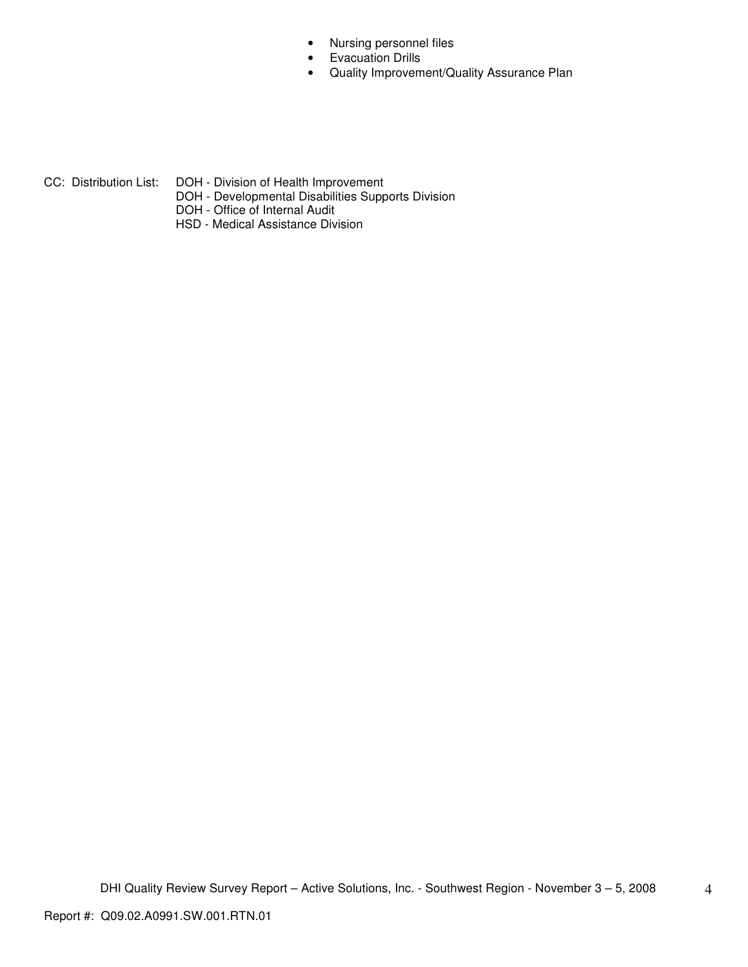- Nursing personnel files
- Evacuation Drills
- Quality Improvement/Quality Assurance Plan

- CC: Distribution List: DOH Division of Health Improvement
	- DOH Developmental Disabilities Supports Division
	- DOH Office of Internal Audit
	- HSD Medical Assistance Division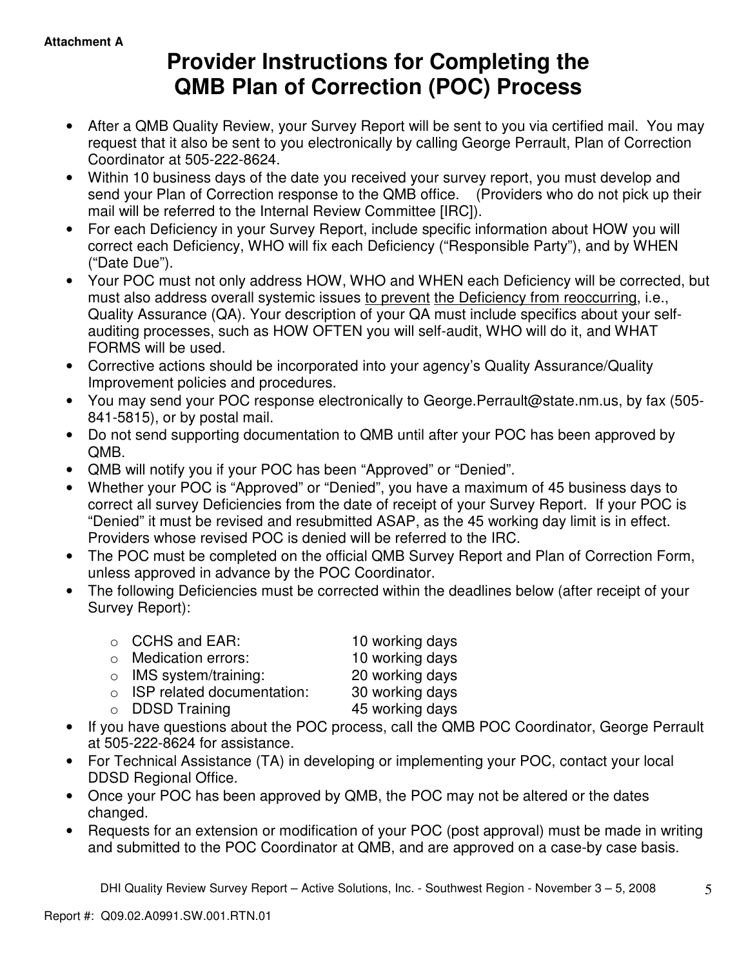# **Provider Instructions for Completing the QMB Plan of Correction (POC) Process**

- After a QMB Quality Review, your Survey Report will be sent to you via certified mail. You may request that it also be sent to you electronically by calling George Perrault, Plan of Correction Coordinator at 505-222-8624.
- Within 10 business days of the date you received your survey report, you must develop and send your Plan of Correction response to the QMB office. (Providers who do not pick up their mail will be referred to the Internal Review Committee [IRC]).
- For each Deficiency in your Survey Report, include specific information about HOW you will correct each Deficiency, WHO will fix each Deficiency ("Responsible Party"), and by WHEN ("Date Due").
- Your POC must not only address HOW, WHO and WHEN each Deficiency will be corrected, but must also address overall systemic issues to prevent the Deficiency from reoccurring, i.e., Quality Assurance (QA). Your description of your QA must include specifics about your selfauditing processes, such as HOW OFTEN you will self-audit, WHO will do it, and WHAT FORMS will be used.
- Corrective actions should be incorporated into your agency's Quality Assurance/Quality Improvement policies and procedures.
- You may send your POC response electronically to George.Perrault@state.nm.us, by fax (505- 841-5815), or by postal mail.
- Do not send supporting documentation to QMB until after your POC has been approved by QMB.
- QMB will notify you if your POC has been "Approved" or "Denied".
- Whether your POC is "Approved" or "Denied", you have a maximum of 45 business days to correct all survey Deficiencies from the date of receipt of your Survey Report. If your POC is "Denied" it must be revised and resubmitted ASAP, as the 45 working day limit is in effect. Providers whose revised POC is denied will be referred to the IRC.
- The POC must be completed on the official QMB Survey Report and Plan of Correction Form, unless approved in advance by the POC Coordinator.
- The following Deficiencies must be corrected within the deadlines below (after receipt of your Survey Report):

| ○ CCHS and EAR:                    | 10 working days |
|------------------------------------|-----------------|
| $\circ$ Medication errors:         | 10 working days |
| $\circ$ IMS system/training:       | 20 working days |
| $\circ$ ISP related documentation: | 30 working days |
| $\circ$ DDSD Training              | 45 working days |
|                                    |                 |

- If you have questions about the POC process, call the QMB POC Coordinator, George Perrault at 505-222-8624 for assistance.
- For Technical Assistance (TA) in developing or implementing your POC, contact your local DDSD Regional Office.
- Once your POC has been approved by QMB, the POC may not be altered or the dates changed.
- Requests for an extension or modification of your POC (post approval) must be made in writing and submitted to the POC Coordinator at QMB, and are approved on a case-by case basis.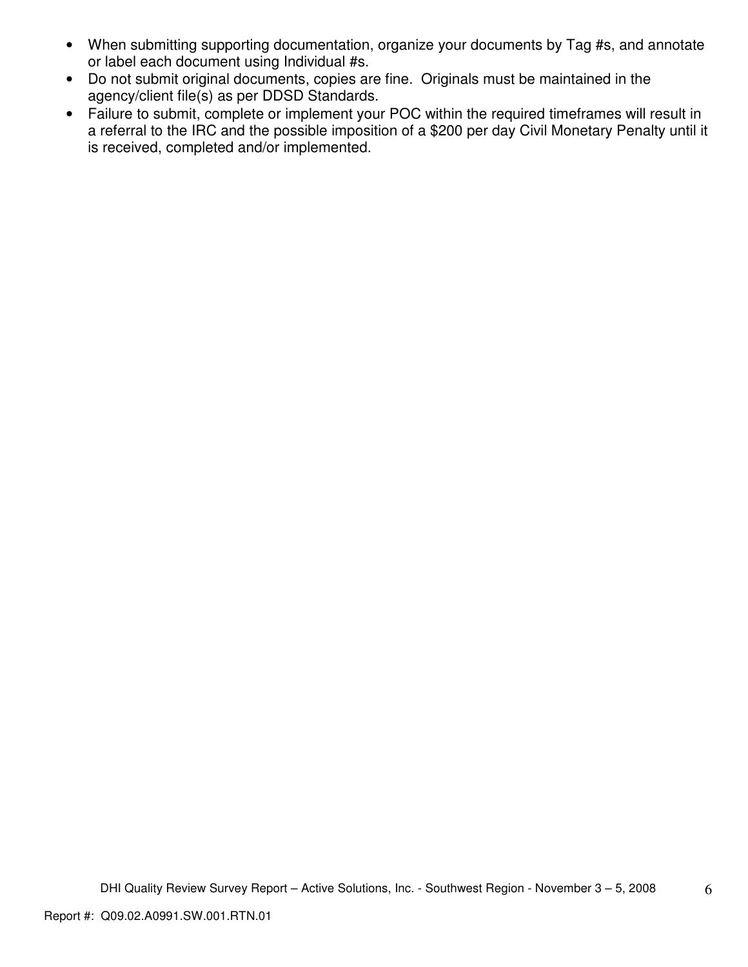- When submitting supporting documentation, organize your documents by Tag #s, and annotate or label each document using Individual #s.
- Do not submit original documents, copies are fine. Originals must be maintained in the agency/client file(s) as per DDSD Standards.
- Failure to submit, complete or implement your POC within the required timeframes will result in a referral to the IRC and the possible imposition of a \$200 per day Civil Monetary Penalty until it is received, completed and/or implemented.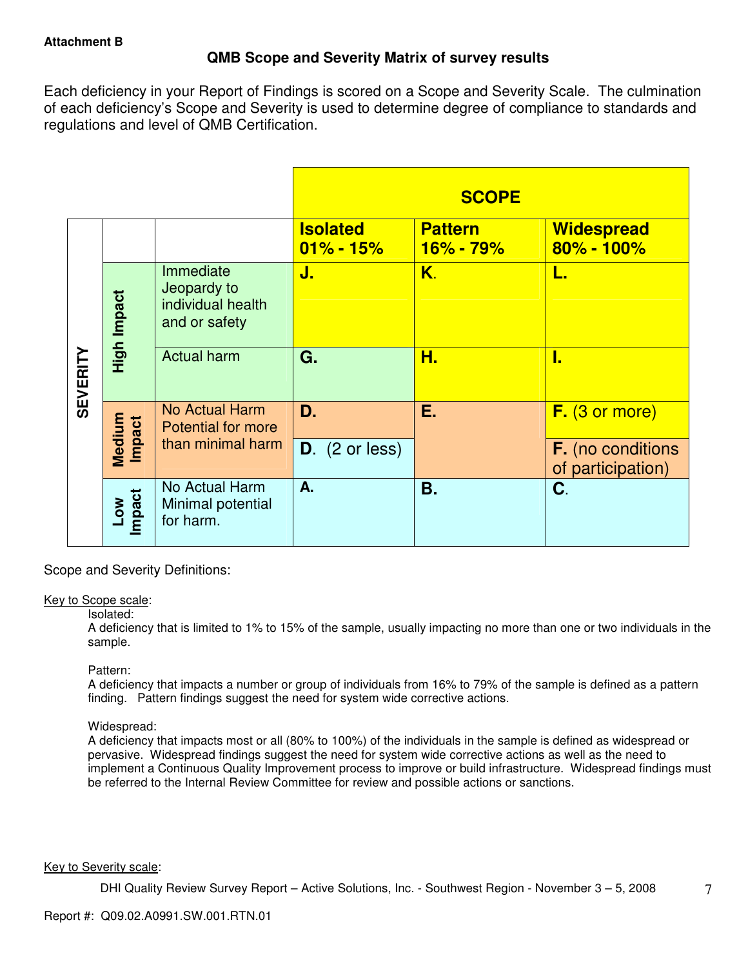## **QMB Scope and Severity Matrix of survey results**

Each deficiency in your Report of Findings is scored on a Scope and Severity Scale. The culmination of each deficiency's Scope and Severity is used to determine degree of compliance to standards and regulations and level of QMB Certification.

|                 |                           |                                                                |                                  | <b>SCOPE</b>                  |                                               |
|-----------------|---------------------------|----------------------------------------------------------------|----------------------------------|-------------------------------|-----------------------------------------------|
|                 |                           |                                                                | <b>Isolated</b><br>$01\% - 15\%$ | <b>Pattern</b><br>$16% - 79%$ | <b>Widespread</b><br>$80\% - 100\%$           |
|                 | High Impact               | Immediate<br>Jeopardy to<br>individual health<br>and or safety | J.                               | K.                            | L.                                            |
| <b>SEVERITY</b> |                           | <b>Actual harm</b>                                             | G.                               | Н.                            | I.                                            |
|                 | Medium<br>Impact          | <b>No Actual Harm</b><br><b>Potential for more</b>             | D.                               | Е.                            | $F.$ (3 or more)                              |
|                 |                           | than minimal harm                                              | $D.$ (2 or less)                 |                               | <b>F.</b> (no conditions<br>of participation) |
|                 | Impact<br>NO <sub>-</sub> | No Actual Harm<br>Minimal potential<br>for harm.               | A.                               | <b>B.</b>                     | C.                                            |

Scope and Severity Definitions:

#### Key to Scope scale:

#### Isolated:

A deficiency that is limited to 1% to 15% of the sample, usually impacting no more than one or two individuals in the sample.

#### Pattern:

A deficiency that impacts a number or group of individuals from 16% to 79% of the sample is defined as a pattern finding. Pattern findings suggest the need for system wide corrective actions.

## Widespread:

A deficiency that impacts most or all (80% to 100%) of the individuals in the sample is defined as widespread or pervasive. Widespread findings suggest the need for system wide corrective actions as well as the need to implement a Continuous Quality Improvement process to improve or build infrastructure. Widespread findings must be referred to the Internal Review Committee for review and possible actions or sanctions.

#### Key to Severity scale: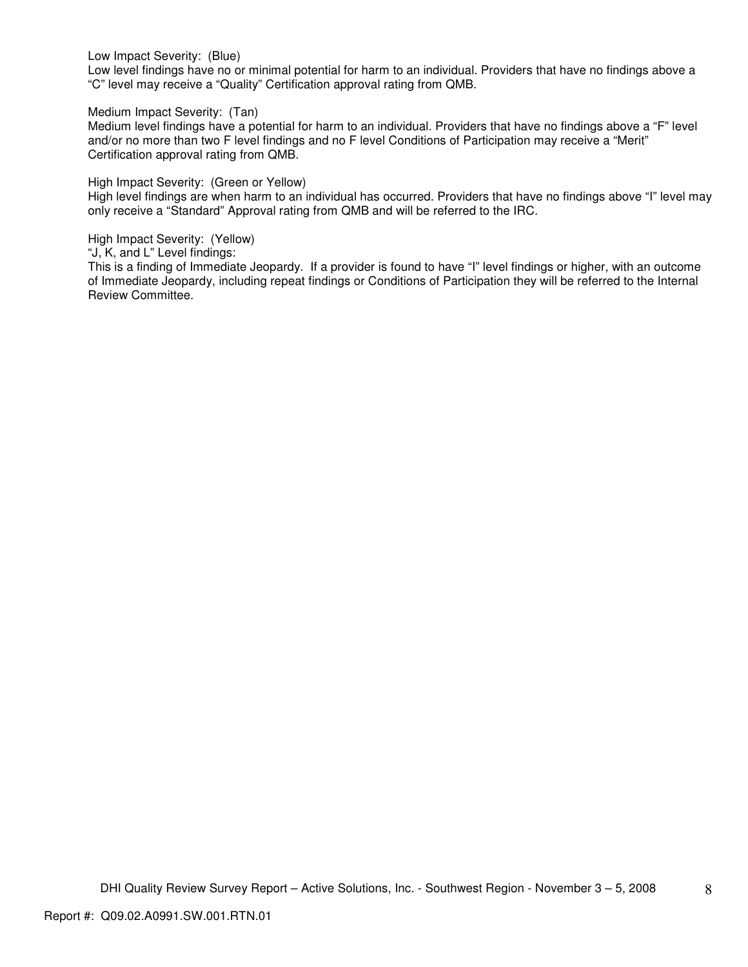Low Impact Severity: (Blue)

Low level findings have no or minimal potential for harm to an individual. Providers that have no findings above a "C" level may receive a "Quality" Certification approval rating from QMB.

Medium Impact Severity: (Tan)

Medium level findings have a potential for harm to an individual. Providers that have no findings above a "F" level and/or no more than two F level findings and no F level Conditions of Participation may receive a "Merit" Certification approval rating from QMB.

High Impact Severity: (Green or Yellow)

High level findings are when harm to an individual has occurred. Providers that have no findings above "I" level may only receive a "Standard" Approval rating from QMB and will be referred to the IRC.

High Impact Severity: (Yellow)

"J, K, and L" Level findings:

This is a finding of Immediate Jeopardy. If a provider is found to have "I" level findings or higher, with an outcome of Immediate Jeopardy, including repeat findings or Conditions of Participation they will be referred to the Internal Review Committee.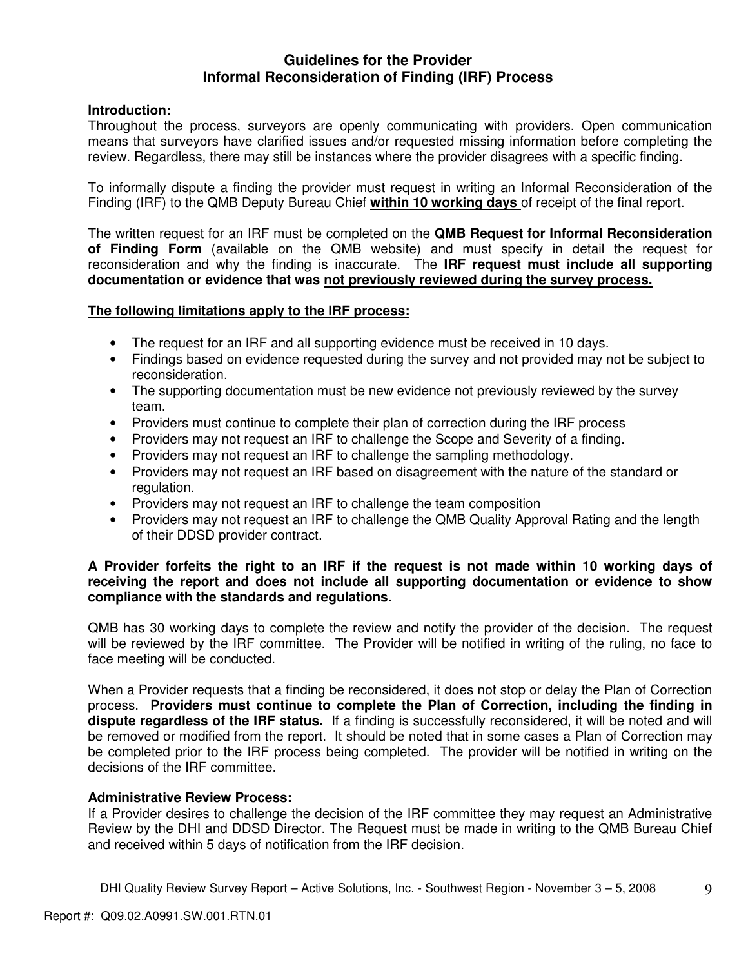## **Guidelines for the Provider Informal Reconsideration of Finding (IRF) Process**

## **Introduction:**

Throughout the process, surveyors are openly communicating with providers. Open communication means that surveyors have clarified issues and/or requested missing information before completing the review. Regardless, there may still be instances where the provider disagrees with a specific finding.

To informally dispute a finding the provider must request in writing an Informal Reconsideration of the Finding (IRF) to the QMB Deputy Bureau Chief **within 10 working days** of receipt of the final report.

The written request for an IRF must be completed on the **QMB Request for Informal Reconsideration of Finding Form** (available on the QMB website) and must specify in detail the request for reconsideration and why the finding is inaccurate. The **IRF request must include all supporting documentation or evidence that was not previously reviewed during the survey process.** 

## **The following limitations apply to the IRF process:**

- The request for an IRF and all supporting evidence must be received in 10 days.
- Findings based on evidence requested during the survey and not provided may not be subject to reconsideration.
- The supporting documentation must be new evidence not previously reviewed by the survey team.
- Providers must continue to complete their plan of correction during the IRF process
- Providers may not request an IRF to challenge the Scope and Severity of a finding.
- Providers may not request an IRF to challenge the sampling methodology.
- Providers may not request an IRF based on disagreement with the nature of the standard or regulation.
- Providers may not request an IRF to challenge the team composition
- Providers may not request an IRF to challenge the QMB Quality Approval Rating and the length of their DDSD provider contract.

## **A Provider forfeits the right to an IRF if the request is not made within 10 working days of receiving the report and does not include all supporting documentation or evidence to show compliance with the standards and regulations.**

QMB has 30 working days to complete the review and notify the provider of the decision. The request will be reviewed by the IRF committee. The Provider will be notified in writing of the ruling, no face to face meeting will be conducted.

When a Provider requests that a finding be reconsidered, it does not stop or delay the Plan of Correction process. **Providers must continue to complete the Plan of Correction, including the finding in dispute regardless of the IRF status.** If a finding is successfully reconsidered, it will be noted and will be removed or modified from the report. It should be noted that in some cases a Plan of Correction may be completed prior to the IRF process being completed. The provider will be notified in writing on the decisions of the IRF committee.

#### **Administrative Review Process:**

If a Provider desires to challenge the decision of the IRF committee they may request an Administrative Review by the DHI and DDSD Director. The Request must be made in writing to the QMB Bureau Chief and received within 5 days of notification from the IRF decision.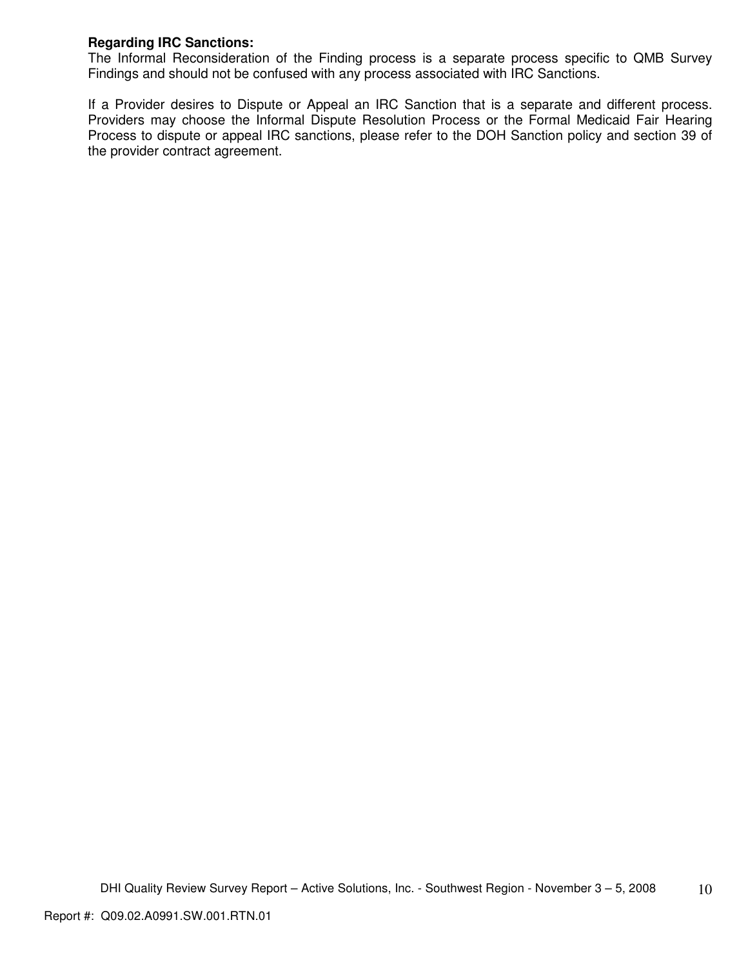## **Regarding IRC Sanctions:**

The Informal Reconsideration of the Finding process is a separate process specific to QMB Survey Findings and should not be confused with any process associated with IRC Sanctions.

If a Provider desires to Dispute or Appeal an IRC Sanction that is a separate and different process. Providers may choose the Informal Dispute Resolution Process or the Formal Medicaid Fair Hearing Process to dispute or appeal IRC sanctions, please refer to the DOH Sanction policy and section 39 of the provider contract agreement.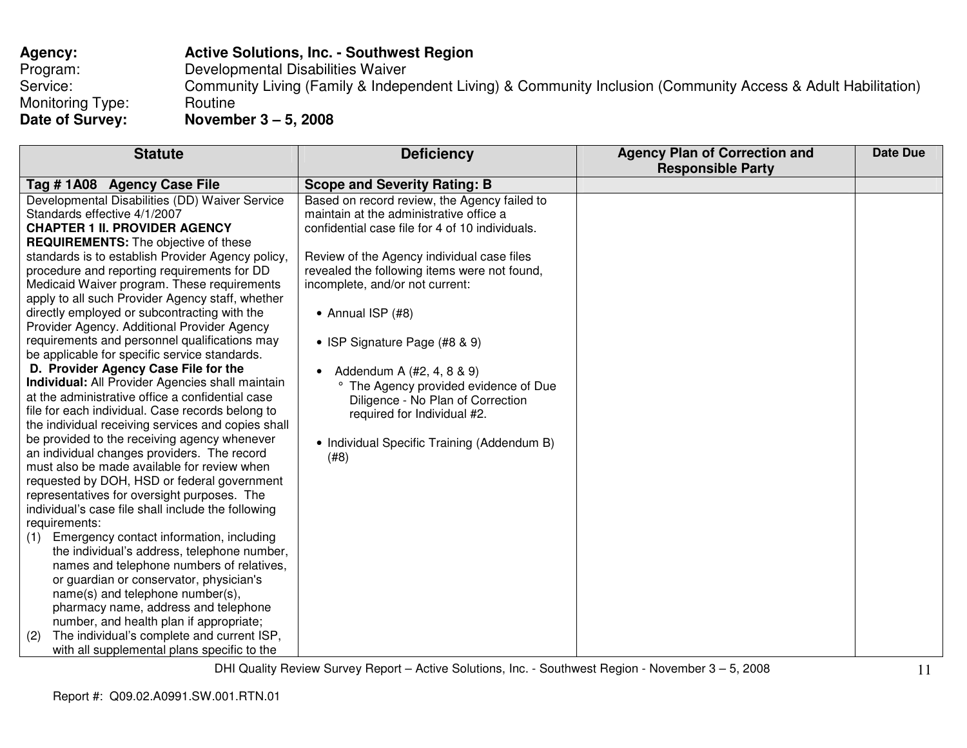# **Agency: Active Solutions, Inc. - Southwest Region**Program: Developmental Disabilities Waiver Service: Community Living (Family & Independent Living) & Community Inclusion (Community Access & Adult Habilitation) Monitoring Type: Routine<br>
Date of Survey: Novemb **Date of Survey: November 3 – 5, 2008**

| <b>Statute</b>                                     | <b>Deficiency</b>                               | <b>Agency Plan of Correction and</b><br><b>Responsible Party</b> | <b>Date Due</b> |
|----------------------------------------------------|-------------------------------------------------|------------------------------------------------------------------|-----------------|
|                                                    |                                                 |                                                                  |                 |
| Tag #1A08 Agency Case File                         | <b>Scope and Severity Rating: B</b>             |                                                                  |                 |
| Developmental Disabilities (DD) Waiver Service     | Based on record review, the Agency failed to    |                                                                  |                 |
| Standards effective 4/1/2007                       | maintain at the administrative office a         |                                                                  |                 |
| <b>CHAPTER 1 II. PROVIDER AGENCY</b>               | confidential case file for 4 of 10 individuals. |                                                                  |                 |
| <b>REQUIREMENTS:</b> The objective of these        |                                                 |                                                                  |                 |
| standards is to establish Provider Agency policy,  | Review of the Agency individual case files      |                                                                  |                 |
| procedure and reporting requirements for DD        | revealed the following items were not found,    |                                                                  |                 |
| Medicaid Waiver program. These requirements        | incomplete, and/or not current:                 |                                                                  |                 |
| apply to all such Provider Agency staff, whether   |                                                 |                                                                  |                 |
| directly employed or subcontracting with the       | • Annual ISP (#8)                               |                                                                  |                 |
| Provider Agency. Additional Provider Agency        |                                                 |                                                                  |                 |
| requirements and personnel qualifications may      | • ISP Signature Page (#8 & 9)                   |                                                                  |                 |
| be applicable for specific service standards.      |                                                 |                                                                  |                 |
| D. Provider Agency Case File for the               | Addendum A (#2, 4, 8 & 9)<br>$\bullet$          |                                                                  |                 |
| Individual: All Provider Agencies shall maintain   | ° The Agency provided evidence of Due           |                                                                  |                 |
| at the administrative office a confidential case   | Diligence - No Plan of Correction               |                                                                  |                 |
| file for each individual. Case records belong to   | required for Individual #2.                     |                                                                  |                 |
| the individual receiving services and copies shall |                                                 |                                                                  |                 |
| be provided to the receiving agency whenever       | • Individual Specific Training (Addendum B)     |                                                                  |                 |
| an individual changes providers. The record        | (#8)                                            |                                                                  |                 |
| must also be made available for review when        |                                                 |                                                                  |                 |
| requested by DOH, HSD or federal government        |                                                 |                                                                  |                 |
| representatives for oversight purposes. The        |                                                 |                                                                  |                 |
| individual's case file shall include the following |                                                 |                                                                  |                 |
| requirements:                                      |                                                 |                                                                  |                 |
| Emergency contact information, including<br>(1)    |                                                 |                                                                  |                 |
| the individual's address, telephone number,        |                                                 |                                                                  |                 |
| names and telephone numbers of relatives,          |                                                 |                                                                  |                 |
| or guardian or conservator, physician's            |                                                 |                                                                  |                 |
| name(s) and telephone number(s),                   |                                                 |                                                                  |                 |
| pharmacy name, address and telephone               |                                                 |                                                                  |                 |
| number, and health plan if appropriate;            |                                                 |                                                                  |                 |
| The individual's complete and current ISP,<br>(2)  |                                                 |                                                                  |                 |
| with all supplemental plans specific to the        |                                                 |                                                                  |                 |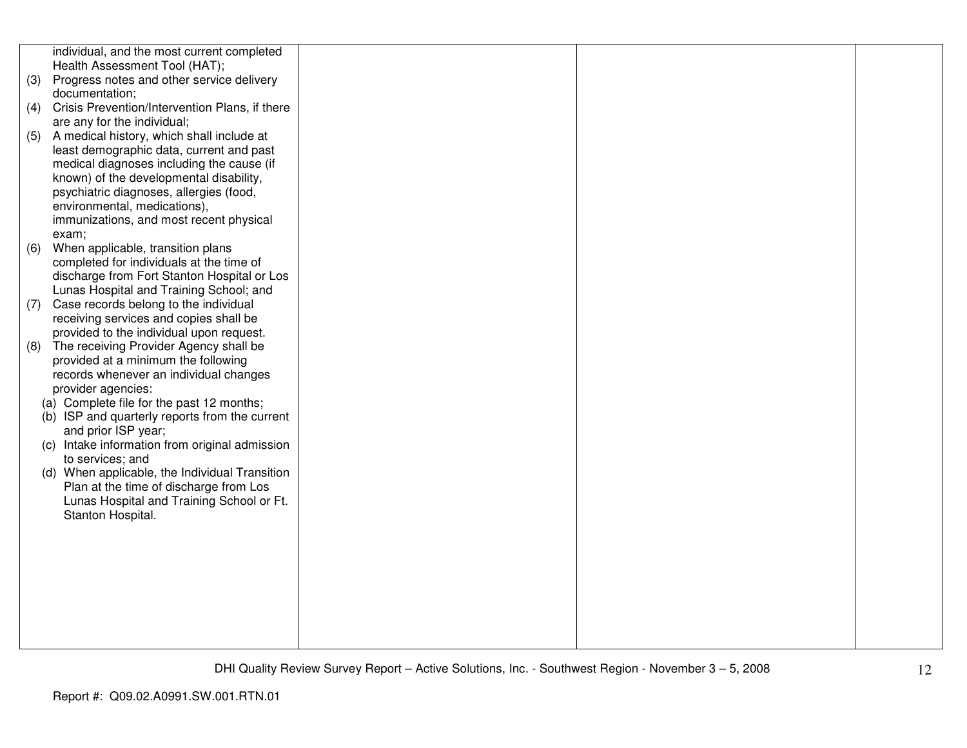|     | individual, and the most current completed     |  |  |
|-----|------------------------------------------------|--|--|
|     | Health Assessment Tool (HAT);                  |  |  |
| (3) | Progress notes and other service delivery      |  |  |
|     | documentation;                                 |  |  |
| (4) | Crisis Prevention/Intervention Plans, if there |  |  |
|     | are any for the individual;                    |  |  |
| (5) | A medical history, which shall include at      |  |  |
|     | least demographic data, current and past       |  |  |
|     | medical diagnoses including the cause (if      |  |  |
|     | known) of the developmental disability,        |  |  |
|     | psychiatric diagnoses, allergies (food,        |  |  |
|     | environmental, medications),                   |  |  |
|     | immunizations, and most recent physical        |  |  |
|     | exam;                                          |  |  |
| (6) | When applicable, transition plans              |  |  |
|     | completed for individuals at the time of       |  |  |
|     | discharge from Fort Stanton Hospital or Los    |  |  |
|     | Lunas Hospital and Training School; and        |  |  |
| (7) | Case records belong to the individual          |  |  |
|     | receiving services and copies shall be         |  |  |
|     | provided to the individual upon request.       |  |  |
| (8) | The receiving Provider Agency shall be         |  |  |
|     | provided at a minimum the following            |  |  |
|     | records whenever an individual changes         |  |  |
|     | provider agencies:                             |  |  |
|     | (a) Complete file for the past 12 months;      |  |  |
|     | (b) ISP and quarterly reports from the current |  |  |
|     | and prior ISP year;                            |  |  |
|     | (c) Intake information from original admission |  |  |
|     | to services; and                               |  |  |
|     | (d) When applicable, the Individual Transition |  |  |
|     | Plan at the time of discharge from Los         |  |  |
|     | Lunas Hospital and Training School or Ft.      |  |  |
|     | Stanton Hospital.                              |  |  |
|     |                                                |  |  |
|     |                                                |  |  |
|     |                                                |  |  |
|     |                                                |  |  |
|     |                                                |  |  |
|     |                                                |  |  |
|     |                                                |  |  |
|     |                                                |  |  |
|     |                                                |  |  |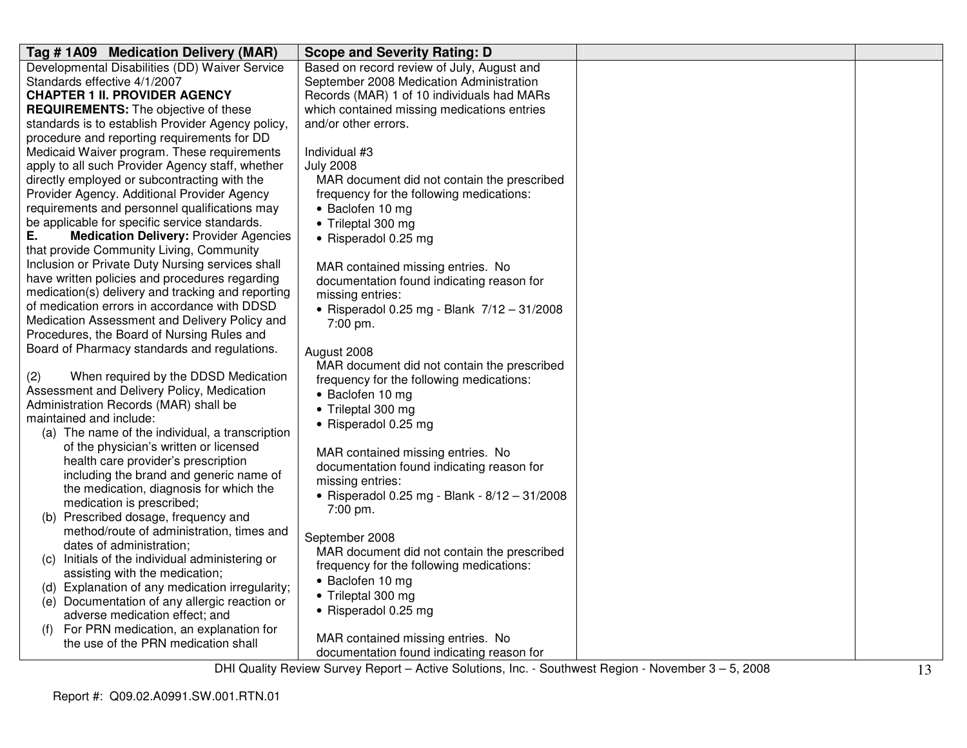| Tag #1A09 Medication Delivery (MAR)                 | <b>Scope and Severity Rating: D</b>           |  |
|-----------------------------------------------------|-----------------------------------------------|--|
| Developmental Disabilities (DD) Waiver Service      | Based on record review of July, August and    |  |
| Standards effective 4/1/2007                        | September 2008 Medication Administration      |  |
| <b>CHAPTER 1 II. PROVIDER AGENCY</b>                | Records (MAR) 1 of 10 individuals had MARs    |  |
| <b>REQUIREMENTS:</b> The objective of these         | which contained missing medications entries   |  |
| standards is to establish Provider Agency policy,   | and/or other errors.                          |  |
| procedure and reporting requirements for DD         |                                               |  |
| Medicaid Waiver program. These requirements         | Individual #3                                 |  |
| apply to all such Provider Agency staff, whether    | <b>July 2008</b>                              |  |
| directly employed or subcontracting with the        | MAR document did not contain the prescribed   |  |
| Provider Agency. Additional Provider Agency         | frequency for the following medications:      |  |
| requirements and personnel qualifications may       | • Baclofen 10 mg                              |  |
| be applicable for specific service standards.       | • Trileptal 300 mg                            |  |
| <b>Medication Delivery: Provider Agencies</b><br>Е. | • Risperadol 0.25 mg                          |  |
| that provide Community Living, Community            |                                               |  |
| Inclusion or Private Duty Nursing services shall    | MAR contained missing entries. No             |  |
| have written policies and procedures regarding      | documentation found indicating reason for     |  |
| medication(s) delivery and tracking and reporting   | missing entries:                              |  |
| of medication errors in accordance with DDSD        | • Risperadol 0.25 mg - Blank 7/12 - 31/2008   |  |
| Medication Assessment and Delivery Policy and       | 7:00 pm.                                      |  |
| Procedures, the Board of Nursing Rules and          |                                               |  |
| Board of Pharmacy standards and regulations.        | August 2008                                   |  |
|                                                     | MAR document did not contain the prescribed   |  |
| When required by the DDSD Medication<br>(2)         | frequency for the following medications:      |  |
| Assessment and Delivery Policy, Medication          | • Baclofen 10 mg                              |  |
| Administration Records (MAR) shall be               | • Trileptal 300 mg                            |  |
| maintained and include:                             | • Risperadol 0.25 mg                          |  |
| (a) The name of the individual, a transcription     |                                               |  |
| of the physician's written or licensed              | MAR contained missing entries. No             |  |
| health care provider's prescription                 | documentation found indicating reason for     |  |
| including the brand and generic name of             | missing entries:                              |  |
| the medication, diagnosis for which the             | • Risperadol 0.25 mg - Blank - 8/12 - 31/2008 |  |
| medication is prescribed;                           | 7:00 pm.                                      |  |
| (b) Prescribed dosage, frequency and                |                                               |  |
| method/route of administration, times and           | September 2008                                |  |
| dates of administration;                            | MAR document did not contain the prescribed   |  |
| (c) Initials of the individual administering or     | frequency for the following medications:      |  |
| assisting with the medication;                      | • Baclofen 10 mg                              |  |
| (d) Explanation of any medication irregularity;     |                                               |  |
| (e) Documentation of any allergic reaction or       | • Trileptal 300 mg                            |  |
| adverse medication effect; and                      | • Risperadol 0.25 mg                          |  |
| For PRN medication, an explanation for              |                                               |  |
| the use of the PRN medication shall                 | MAR contained missing entries. No             |  |
|                                                     | documentation found indicating reason for     |  |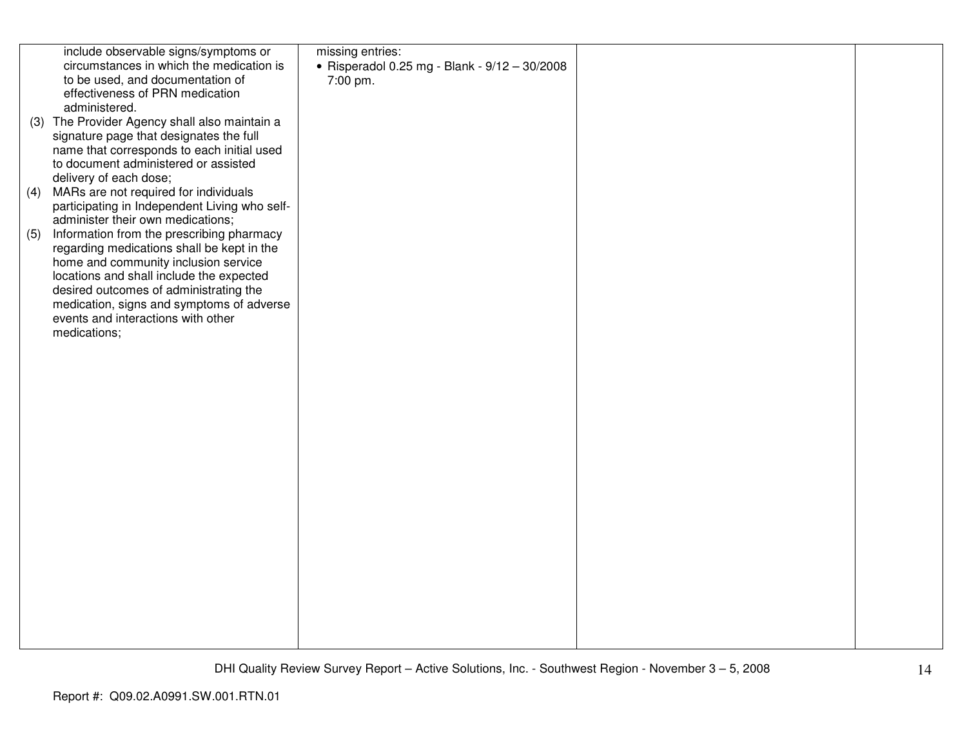|     | include observable signs/symptoms or          | missing entries:                                |  |
|-----|-----------------------------------------------|-------------------------------------------------|--|
|     | circumstances in which the medication is      | • Risperadol 0.25 mg - Blank - $9/12 - 30/2008$ |  |
|     | to be used, and documentation of              | 7:00 pm.                                        |  |
|     | effectiveness of PRN medication               |                                                 |  |
|     | administered.                                 |                                                 |  |
|     | (3) The Provider Agency shall also maintain a |                                                 |  |
|     | signature page that designates the full       |                                                 |  |
|     | name that corresponds to each initial used    |                                                 |  |
|     | to document administered or assisted          |                                                 |  |
|     | delivery of each dose;                        |                                                 |  |
| (4) | MARs are not required for individuals         |                                                 |  |
|     | participating in Independent Living who self- |                                                 |  |
|     | administer their own medications;             |                                                 |  |
| (5) | Information from the prescribing pharmacy     |                                                 |  |
|     | regarding medications shall be kept in the    |                                                 |  |
|     | home and community inclusion service          |                                                 |  |
|     | locations and shall include the expected      |                                                 |  |
|     | desired outcomes of administrating the        |                                                 |  |
|     | medication, signs and symptoms of adverse     |                                                 |  |
|     | events and interactions with other            |                                                 |  |
|     | medications;                                  |                                                 |  |
|     |                                               |                                                 |  |
|     |                                               |                                                 |  |
|     |                                               |                                                 |  |
|     |                                               |                                                 |  |
|     |                                               |                                                 |  |
|     |                                               |                                                 |  |
|     |                                               |                                                 |  |
|     |                                               |                                                 |  |
|     |                                               |                                                 |  |
|     |                                               |                                                 |  |
|     |                                               |                                                 |  |
|     |                                               |                                                 |  |
|     |                                               |                                                 |  |
|     |                                               |                                                 |  |
|     |                                               |                                                 |  |
|     |                                               |                                                 |  |
|     |                                               |                                                 |  |
|     |                                               |                                                 |  |
|     |                                               |                                                 |  |
|     |                                               |                                                 |  |
|     |                                               |                                                 |  |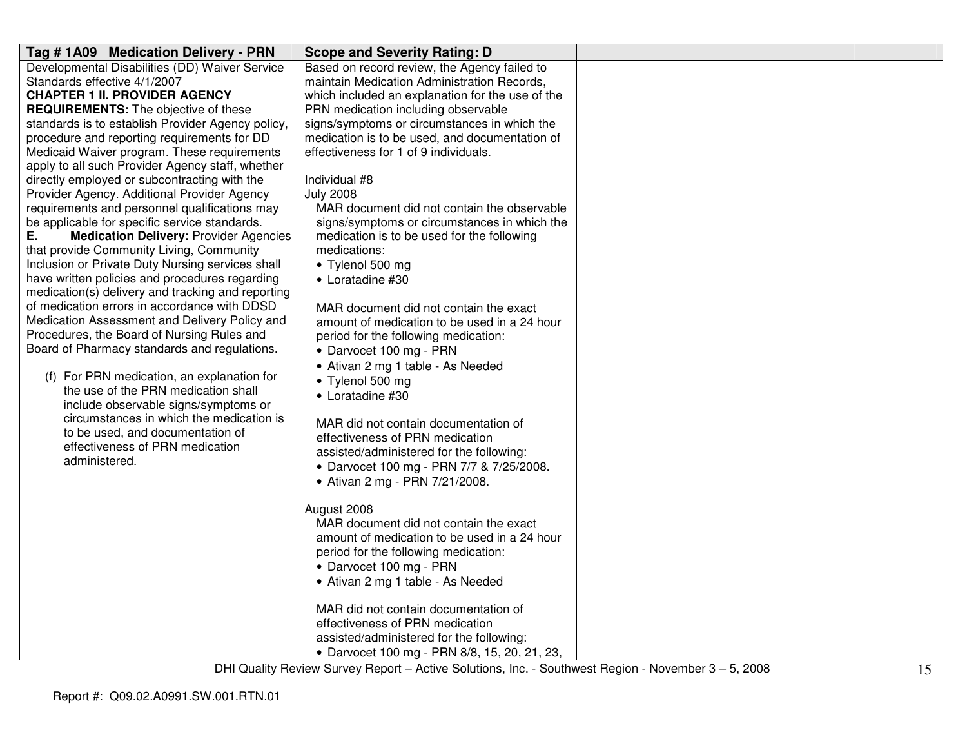| Tag # 1A09 Medication Delivery - PRN                                                           | <b>Scope and Severity Rating: D</b>                             |  |
|------------------------------------------------------------------------------------------------|-----------------------------------------------------------------|--|
| Developmental Disabilities (DD) Waiver Service                                                 | Based on record review, the Agency failed to                    |  |
| Standards effective 4/1/2007                                                                   | maintain Medication Administration Records,                     |  |
| <b>CHAPTER 1 II. PROVIDER AGENCY</b>                                                           | which included an explanation for the use of the                |  |
| <b>REQUIREMENTS:</b> The objective of these                                                    | PRN medication including observable                             |  |
| standards is to establish Provider Agency policy,                                              | signs/symptoms or circumstances in which the                    |  |
| procedure and reporting requirements for DD                                                    | medication is to be used, and documentation of                  |  |
| Medicaid Waiver program. These requirements                                                    | effectiveness for 1 of 9 individuals.                           |  |
| apply to all such Provider Agency staff, whether                                               |                                                                 |  |
| directly employed or subcontracting with the                                                   | Individual #8                                                   |  |
| Provider Agency. Additional Provider Agency                                                    | <b>July 2008</b><br>MAR document did not contain the observable |  |
| requirements and personnel qualifications may<br>be applicable for specific service standards. | signs/symptoms or circumstances in which the                    |  |
| <b>Medication Delivery: Provider Agencies</b><br>Е.                                            | medication is to be used for the following                      |  |
| that provide Community Living, Community                                                       | medications:                                                    |  |
| Inclusion or Private Duty Nursing services shall                                               | • Tylenol 500 mg                                                |  |
| have written policies and procedures regarding                                                 | • Loratadine #30                                                |  |
| medication(s) delivery and tracking and reporting                                              |                                                                 |  |
| of medication errors in accordance with DDSD                                                   | MAR document did not contain the exact                          |  |
| Medication Assessment and Delivery Policy and                                                  | amount of medication to be used in a 24 hour                    |  |
| Procedures, the Board of Nursing Rules and                                                     | period for the following medication:                            |  |
| Board of Pharmacy standards and regulations.                                                   | • Darvocet 100 mg - PRN                                         |  |
|                                                                                                | • Ativan 2 mg 1 table - As Needed                               |  |
| (f) For PRN medication, an explanation for                                                     | • Tylenol 500 mg                                                |  |
| the use of the PRN medication shall                                                            | • Loratadine #30                                                |  |
| include observable signs/symptoms or                                                           |                                                                 |  |
| circumstances in which the medication is                                                       | MAR did not contain documentation of                            |  |
| to be used, and documentation of                                                               | effectiveness of PRN medication                                 |  |
| effectiveness of PRN medication                                                                | assisted/administered for the following:                        |  |
| administered.                                                                                  | • Darvocet 100 mg - PRN 7/7 & 7/25/2008.                        |  |
|                                                                                                | • Ativan 2 mg - PRN 7/21/2008.                                  |  |
|                                                                                                |                                                                 |  |
|                                                                                                | August 2008                                                     |  |
|                                                                                                | MAR document did not contain the exact                          |  |
|                                                                                                | amount of medication to be used in a 24 hour                    |  |
|                                                                                                | period for the following medication:                            |  |
|                                                                                                | • Darvocet 100 mg - PRN                                         |  |
|                                                                                                | • Ativan 2 mg 1 table - As Needed                               |  |
|                                                                                                |                                                                 |  |
|                                                                                                | MAR did not contain documentation of                            |  |
|                                                                                                | effectiveness of PRN medication                                 |  |
|                                                                                                | assisted/administered for the following:                        |  |
|                                                                                                | • Darvocet 100 mg - PRN 8/8, 15, 20, 21, 23,                    |  |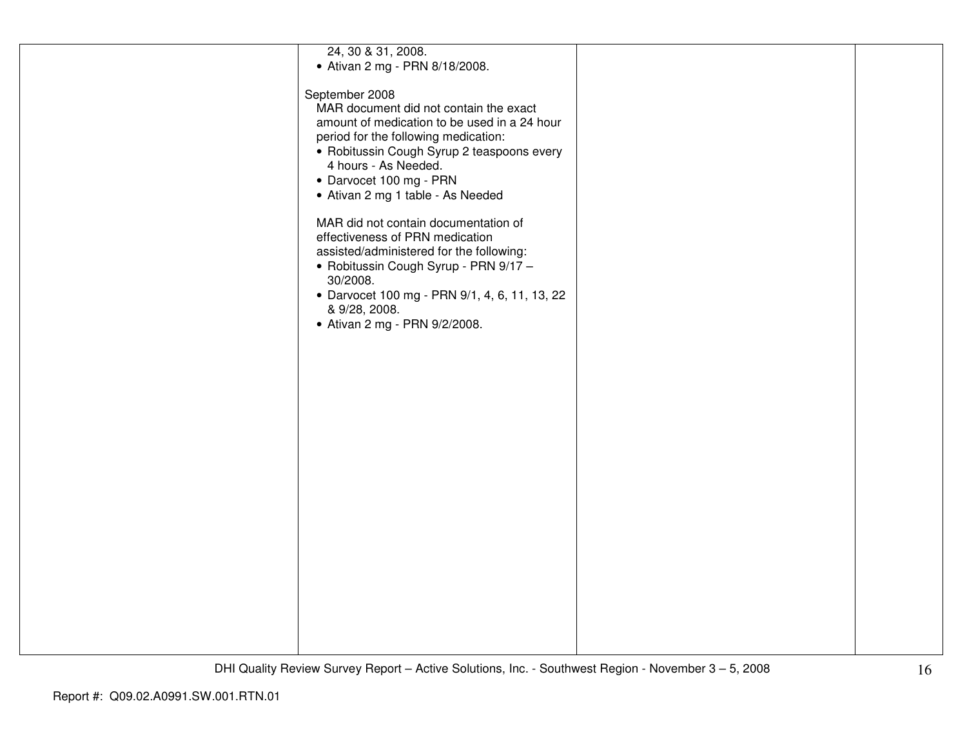| 24, 30 & 31, 2008.                            |  |
|-----------------------------------------------|--|
|                                               |  |
| • Ativan 2 mg - PRN 8/18/2008.                |  |
|                                               |  |
|                                               |  |
| September 2008                                |  |
| MAR document did not contain the exact        |  |
|                                               |  |
| amount of medication to be used in a 24 hour  |  |
| period for the following medication:          |  |
|                                               |  |
| • Robitussin Cough Syrup 2 teaspoons every    |  |
| 4 hours - As Needed.                          |  |
|                                               |  |
| • Darvocet 100 mg - PRN                       |  |
| • Ativan 2 mg 1 table - As Needed             |  |
|                                               |  |
|                                               |  |
| MAR did not contain documentation of          |  |
|                                               |  |
| effectiveness of PRN medication               |  |
| assisted/administered for the following:      |  |
|                                               |  |
| · Robitussin Cough Syrup - PRN 9/17 -         |  |
| 30/2008.                                      |  |
| • Darvocet 100 mg - PRN 9/1, 4, 6, 11, 13, 22 |  |
|                                               |  |
| & 9/28, 2008.                                 |  |
| • Ativan 2 mg - PRN 9/2/2008.                 |  |
|                                               |  |
|                                               |  |
|                                               |  |
|                                               |  |
|                                               |  |
|                                               |  |
|                                               |  |
|                                               |  |
|                                               |  |
|                                               |  |
|                                               |  |
|                                               |  |
|                                               |  |
|                                               |  |
|                                               |  |
|                                               |  |
|                                               |  |
|                                               |  |
|                                               |  |
|                                               |  |
|                                               |  |
|                                               |  |
|                                               |  |
|                                               |  |
|                                               |  |
|                                               |  |
|                                               |  |
|                                               |  |
|                                               |  |
|                                               |  |
|                                               |  |
|                                               |  |
|                                               |  |
|                                               |  |
|                                               |  |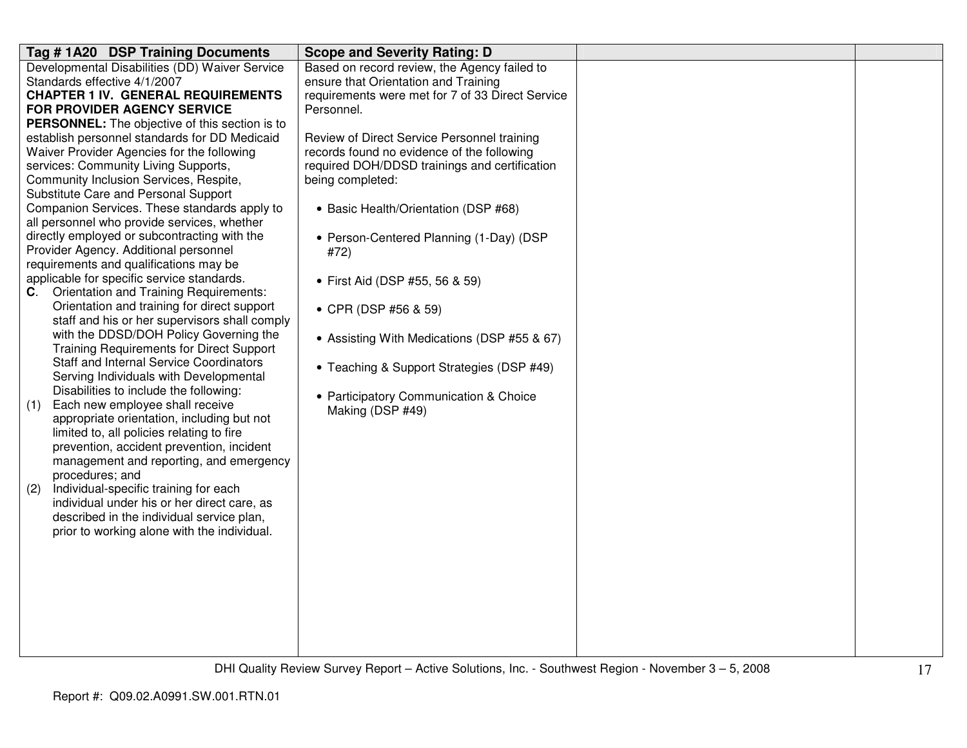| Tag #1A20 DSP Training Documents                                                     | <b>Scope and Severity Rating: D</b>              |  |
|--------------------------------------------------------------------------------------|--------------------------------------------------|--|
| Developmental Disabilities (DD) Waiver Service                                       | Based on record review, the Agency failed to     |  |
| Standards effective 4/1/2007                                                         | ensure that Orientation and Training             |  |
| <b>CHAPTER 1 IV. GENERAL REQUIREMENTS</b>                                            | requirements were met for 7 of 33 Direct Service |  |
| <b>FOR PROVIDER AGENCY SERVICE</b>                                                   | Personnel.                                       |  |
| <b>PERSONNEL:</b> The objective of this section is to                                |                                                  |  |
| establish personnel standards for DD Medicaid                                        | Review of Direct Service Personnel training      |  |
| Waiver Provider Agencies for the following                                           | records found no evidence of the following       |  |
| services: Community Living Supports,                                                 | required DOH/DDSD trainings and certification    |  |
| Community Inclusion Services, Respite,                                               | being completed:                                 |  |
| Substitute Care and Personal Support                                                 |                                                  |  |
| Companion Services. These standards apply to                                         | • Basic Health/Orientation (DSP #68)             |  |
| all personnel who provide services, whether                                          |                                                  |  |
| directly employed or subcontracting with the                                         | • Person-Centered Planning (1-Day) (DSP          |  |
| Provider Agency. Additional personnel                                                | #72)                                             |  |
| requirements and qualifications may be<br>applicable for specific service standards. |                                                  |  |
| Orientation and Training Requirements:<br>C.                                         | • First Aid (DSP #55, 56 & 59)                   |  |
| Orientation and training for direct support                                          |                                                  |  |
| staff and his or her supervisors shall comply                                        | • CPR (DSP #56 & 59)                             |  |
| with the DDSD/DOH Policy Governing the                                               |                                                  |  |
| <b>Training Requirements for Direct Support</b>                                      | • Assisting With Medications (DSP #55 & 67)      |  |
| <b>Staff and Internal Service Coordinators</b>                                       |                                                  |  |
| Serving Individuals with Developmental                                               | • Teaching & Support Strategies (DSP #49)        |  |
| Disabilities to include the following:                                               |                                                  |  |
| Each new employee shall receive<br>(1)                                               | • Participatory Communication & Choice           |  |
| appropriate orientation, including but not                                           | Making (DSP #49)                                 |  |
| limited to, all policies relating to fire                                            |                                                  |  |
| prevention, accident prevention, incident                                            |                                                  |  |
| management and reporting, and emergency                                              |                                                  |  |
| procedures; and                                                                      |                                                  |  |
| Individual-specific training for each<br>(2)                                         |                                                  |  |
| individual under his or her direct care, as                                          |                                                  |  |
| described in the individual service plan,                                            |                                                  |  |
| prior to working alone with the individual.                                          |                                                  |  |
|                                                                                      |                                                  |  |
|                                                                                      |                                                  |  |
|                                                                                      |                                                  |  |
|                                                                                      |                                                  |  |
|                                                                                      |                                                  |  |
|                                                                                      |                                                  |  |
|                                                                                      |                                                  |  |
|                                                                                      |                                                  |  |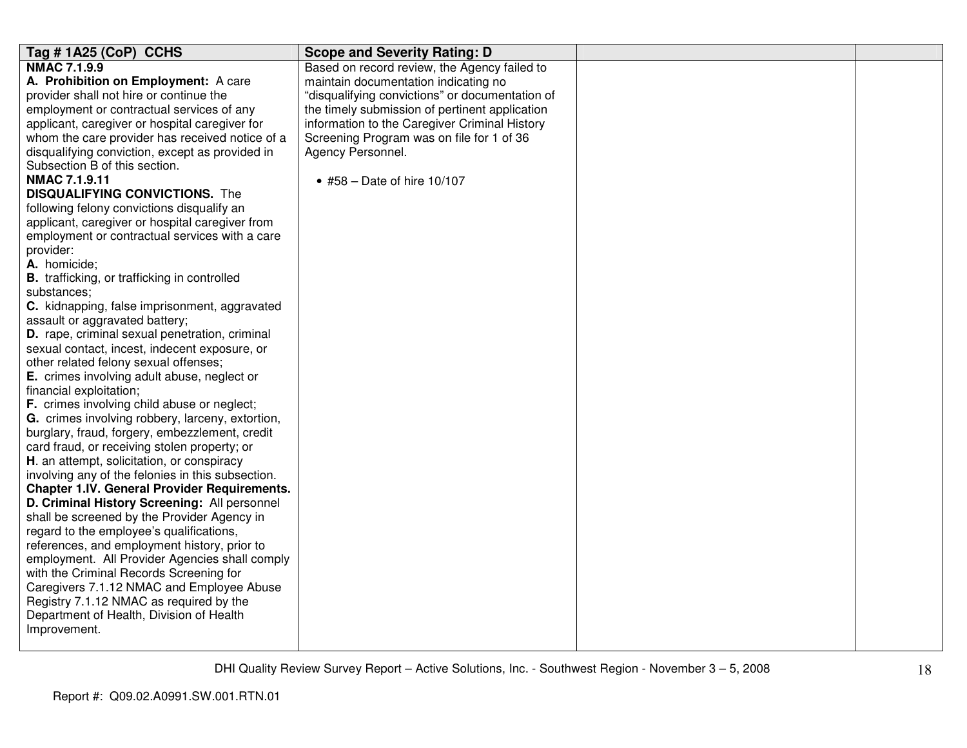| Tag #1A25 (CoP) CCHS                                | <b>Scope and Severity Rating: D</b>             |  |
|-----------------------------------------------------|-------------------------------------------------|--|
| <b>NMAC 7.1.9.9</b>                                 | Based on record review, the Agency failed to    |  |
| A. Prohibition on Employment: A care                | maintain documentation indicating no            |  |
| provider shall not hire or continue the             | "disqualifying convictions" or documentation of |  |
| employment or contractual services of any           | the timely submission of pertinent application  |  |
| applicant, caregiver or hospital caregiver for      | information to the Caregiver Criminal History   |  |
| whom the care provider has received notice of a     | Screening Program was on file for 1 of 36       |  |
| disqualifying conviction, except as provided in     | Agency Personnel.                               |  |
| Subsection B of this section.                       |                                                 |  |
| <b>NMAC 7.1.9.11</b>                                | • #58 – Date of hire $10/107$                   |  |
| <b>DISQUALIFYING CONVICTIONS.</b> The               |                                                 |  |
| following felony convictions disqualify an          |                                                 |  |
| applicant, caregiver or hospital caregiver from     |                                                 |  |
| employment or contractual services with a care      |                                                 |  |
| provider:                                           |                                                 |  |
| A. homicide;                                        |                                                 |  |
| <b>B.</b> trafficking, or trafficking in controlled |                                                 |  |
| substances;                                         |                                                 |  |
| C. kidnapping, false imprisonment, aggravated       |                                                 |  |
| assault or aggravated battery;                      |                                                 |  |
| D. rape, criminal sexual penetration, criminal      |                                                 |  |
| sexual contact, incest, indecent exposure, or       |                                                 |  |
| other related felony sexual offenses;               |                                                 |  |
| E. crimes involving adult abuse, neglect or         |                                                 |  |
| financial exploitation;                             |                                                 |  |
| F. crimes involving child abuse or neglect;         |                                                 |  |
| G. crimes involving robbery, larceny, extortion,    |                                                 |  |
| burglary, fraud, forgery, embezzlement, credit      |                                                 |  |
| card fraud, or receiving stolen property; or        |                                                 |  |
| H. an attempt, solicitation, or conspiracy          |                                                 |  |
| involving any of the felonies in this subsection.   |                                                 |  |
| <b>Chapter 1.IV. General Provider Requirements.</b> |                                                 |  |
| D. Criminal History Screening: All personnel        |                                                 |  |
| shall be screened by the Provider Agency in         |                                                 |  |
| regard to the employee's qualifications,            |                                                 |  |
| references, and employment history, prior to        |                                                 |  |
| employment. All Provider Agencies shall comply      |                                                 |  |
| with the Criminal Records Screening for             |                                                 |  |
| Caregivers 7.1.12 NMAC and Employee Abuse           |                                                 |  |
| Registry 7.1.12 NMAC as required by the             |                                                 |  |
| Department of Health, Division of Health            |                                                 |  |
| Improvement.                                        |                                                 |  |
|                                                     |                                                 |  |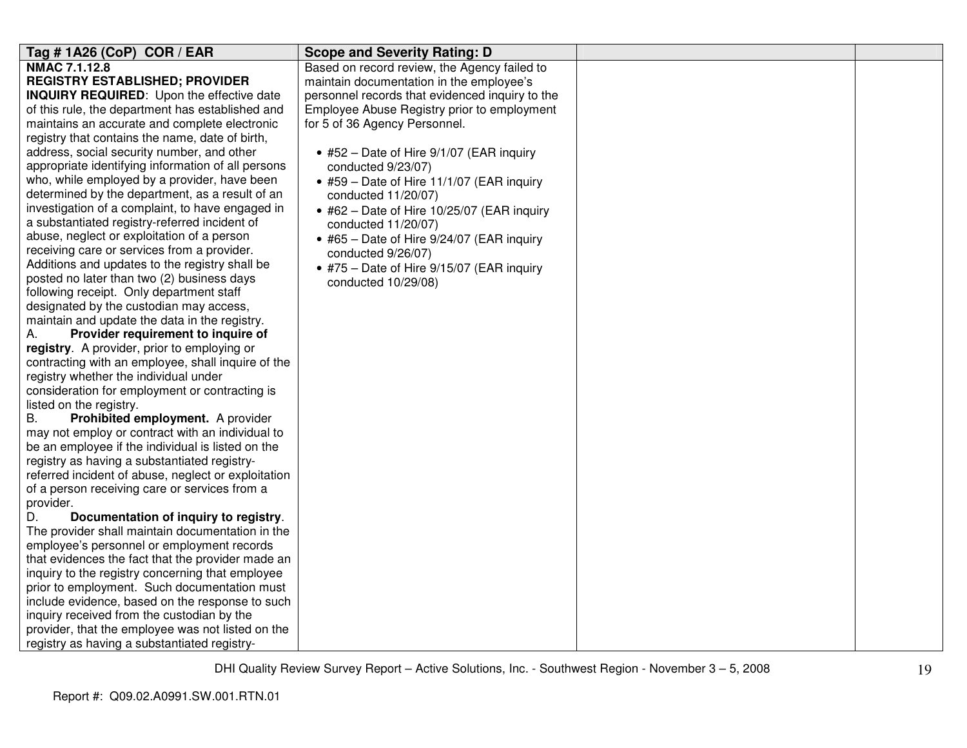| Tag # 1A26 (CoP) COR / EAR                                 | <b>Scope and Severity Rating: D</b>                |  |
|------------------------------------------------------------|----------------------------------------------------|--|
| <b>NMAC 7.1.12.8</b>                                       | Based on record review, the Agency failed to       |  |
| <b>REGISTRY ESTABLISHED; PROVIDER</b>                      | maintain documentation in the employee's           |  |
| <b>INQUIRY REQUIRED:</b> Upon the effective date           | personnel records that evidenced inquiry to the    |  |
| of this rule, the department has established and           | Employee Abuse Registry prior to employment        |  |
| maintains an accurate and complete electronic              | for 5 of 36 Agency Personnel.                      |  |
| registry that contains the name, date of birth,            |                                                    |  |
| address, social security number, and other                 | • #52 - Date of Hire 9/1/07 (EAR inquiry           |  |
| appropriate identifying information of all persons         | conducted 9/23/07)                                 |  |
| who, while employed by a provider, have been               | • #59 - Date of Hire 11/1/07 (EAR inquiry          |  |
| determined by the department, as a result of an            | conducted 11/20/07)                                |  |
| investigation of a complaint, to have engaged in           | $\bullet$ #62 - Date of Hire 10/25/07 (EAR inquiry |  |
| a substantiated registry-referred incident of              | conducted 11/20/07)                                |  |
| abuse, neglect or exploitation of a person                 | • #65 - Date of Hire 9/24/07 (EAR inquiry          |  |
| receiving care or services from a provider.                | conducted 9/26/07)                                 |  |
| Additions and updates to the registry shall be             | • #75 - Date of Hire 9/15/07 (EAR inquiry          |  |
| posted no later than two (2) business days                 | conducted 10/29/08)                                |  |
| following receipt. Only department staff                   |                                                    |  |
| designated by the custodian may access,                    |                                                    |  |
| maintain and update the data in the registry.              |                                                    |  |
| Provider requirement to inquire of<br>А.                   |                                                    |  |
| registry. A provider, prior to employing or                |                                                    |  |
| contracting with an employee, shall inquire of the         |                                                    |  |
| registry whether the individual under                      |                                                    |  |
| consideration for employment or contracting is             |                                                    |  |
| listed on the registry.                                    |                                                    |  |
| <b>B.</b><br>Prohibited employment. A provider             |                                                    |  |
| may not employ or contract with an individual to           |                                                    |  |
| be an employee if the individual is listed on the          |                                                    |  |
| registry as having a substantiated registry-               |                                                    |  |
| referred incident of abuse, neglect or exploitation        |                                                    |  |
| of a person receiving care or services from a<br>provider. |                                                    |  |
| Documentation of inquiry to registry.<br>D.                |                                                    |  |
| The provider shall maintain documentation in the           |                                                    |  |
| employee's personnel or employment records                 |                                                    |  |
| that evidences the fact that the provider made an          |                                                    |  |
| inquiry to the registry concerning that employee           |                                                    |  |
| prior to employment. Such documentation must               |                                                    |  |
| include evidence, based on the response to such            |                                                    |  |
| inquiry received from the custodian by the                 |                                                    |  |
| provider, that the employee was not listed on the          |                                                    |  |
| registry as having a substantiated registry-               |                                                    |  |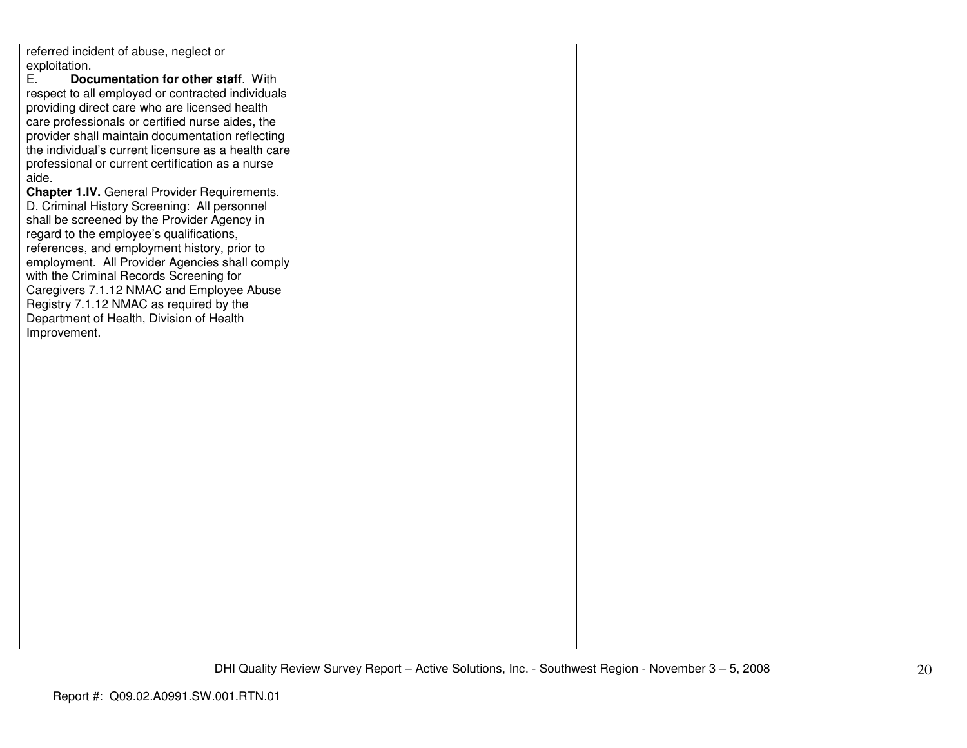referred incident of abuse, neglect or exploitation.<br>E. Doc E. **Documentation for other staff**. With respect to all employed or contracted individuals providing direct care who are licensed health care professionals or certified nurse aides, the provider shall maintain documentation reflecting the individual's current licensure as a health careprofessional or current certification as a nurse aide. **Chapter 1.IV.** General Provider Requirements. D. Criminal History Screening: All personnel shall be screened by the Provider Agency in regard to the employee's qualifications, references, and employment history, prior to employment. All Provider Agencies shall comply with the Criminal Records Screening for Caregivers 7.1.12 NMAC and Employee Abuse Registry 7.1.12 NMAC as required by the Department of Health, Division of Health Improvement.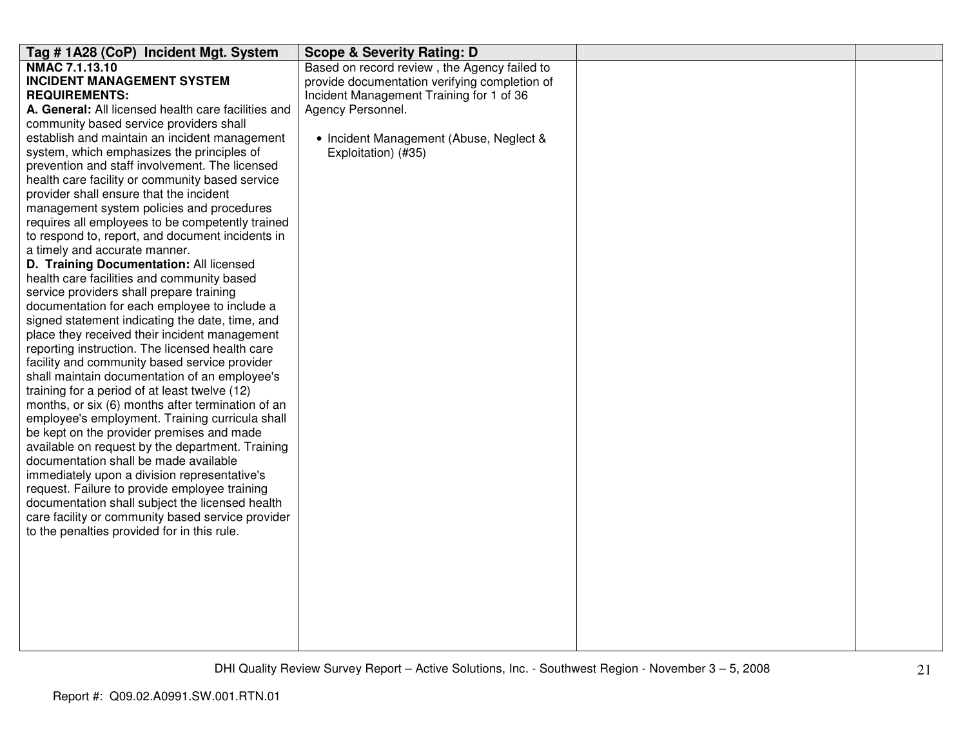| Tag #1A28 (CoP) Incident Mgt. System                                                   | <b>Scope &amp; Severity Rating: D</b>         |  |
|----------------------------------------------------------------------------------------|-----------------------------------------------|--|
| NMAC 7.1.13.10                                                                         | Based on record review, the Agency failed to  |  |
| <b>INCIDENT MANAGEMENT SYSTEM</b>                                                      | provide documentation verifying completion of |  |
| <b>REQUIREMENTS:</b>                                                                   | Incident Management Training for 1 of 36      |  |
| A. General: All licensed health care facilities and                                    | Agency Personnel.                             |  |
| community based service providers shall                                                |                                               |  |
| establish and maintain an incident management                                          | • Incident Management (Abuse, Neglect &       |  |
| system, which emphasizes the principles of                                             | Exploitation) (#35)                           |  |
| prevention and staff involvement. The licensed                                         |                                               |  |
| health care facility or community based service                                        |                                               |  |
| provider shall ensure that the incident                                                |                                               |  |
| management system policies and procedures                                              |                                               |  |
| requires all employees to be competently trained                                       |                                               |  |
| to respond to, report, and document incidents in                                       |                                               |  |
| a timely and accurate manner.                                                          |                                               |  |
| D. Training Documentation: All licensed                                                |                                               |  |
| health care facilities and community based<br>service providers shall prepare training |                                               |  |
| documentation for each employee to include a                                           |                                               |  |
| signed statement indicating the date, time, and                                        |                                               |  |
| place they received their incident management                                          |                                               |  |
| reporting instruction. The licensed health care                                        |                                               |  |
| facility and community based service provider                                          |                                               |  |
| shall maintain documentation of an employee's                                          |                                               |  |
| training for a period of at least twelve (12)                                          |                                               |  |
| months, or six (6) months after termination of an                                      |                                               |  |
| employee's employment. Training curricula shall                                        |                                               |  |
| be kept on the provider premises and made                                              |                                               |  |
| available on request by the department. Training                                       |                                               |  |
| documentation shall be made available                                                  |                                               |  |
| immediately upon a division representative's                                           |                                               |  |
| request. Failure to provide employee training                                          |                                               |  |
| documentation shall subject the licensed health                                        |                                               |  |
| care facility or community based service provider                                      |                                               |  |
| to the penalties provided for in this rule.                                            |                                               |  |
|                                                                                        |                                               |  |
|                                                                                        |                                               |  |
|                                                                                        |                                               |  |
|                                                                                        |                                               |  |
|                                                                                        |                                               |  |
|                                                                                        |                                               |  |
|                                                                                        |                                               |  |
|                                                                                        |                                               |  |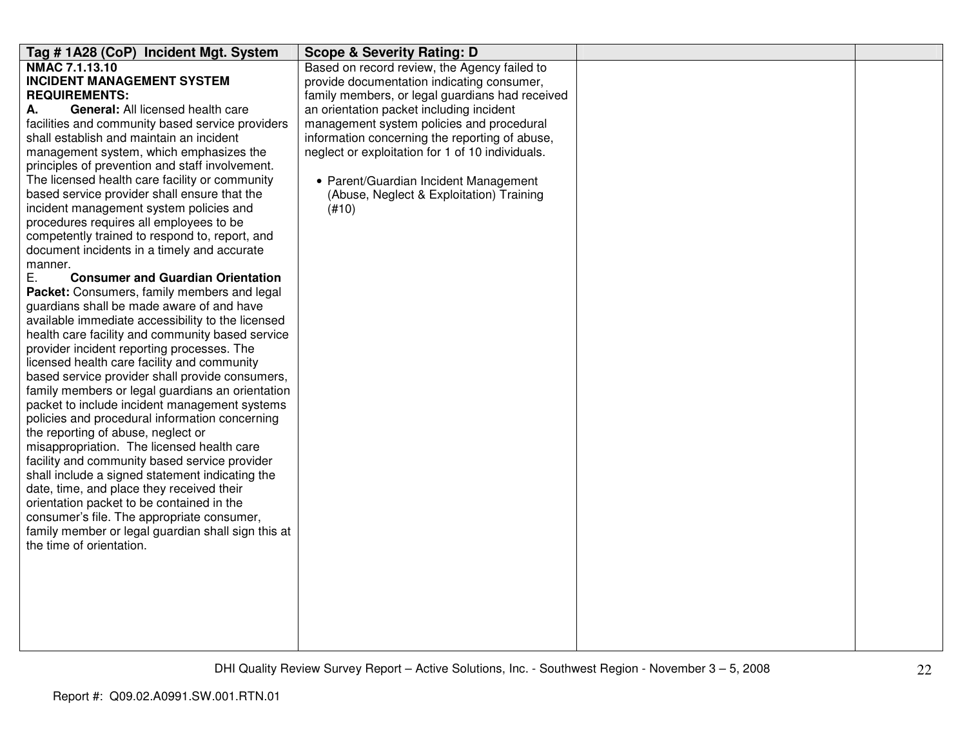| Tag #1A28 (CoP) Incident Mgt. System                   | <b>Scope &amp; Severity Rating: D</b>            |  |
|--------------------------------------------------------|--------------------------------------------------|--|
| <b>NMAC 7.1.13.10</b>                                  | Based on record review, the Agency failed to     |  |
| <b>INCIDENT MANAGEMENT SYSTEM</b>                      | provide documentation indicating consumer,       |  |
| <b>REQUIREMENTS:</b>                                   | family members, or legal guardians had received  |  |
| General: All licensed health care<br>А.                | an orientation packet including incident         |  |
| facilities and community based service providers       | management system policies and procedural        |  |
| shall establish and maintain an incident               | information concerning the reporting of abuse,   |  |
| management system, which emphasizes the                | neglect or exploitation for 1 of 10 individuals. |  |
| principles of prevention and staff involvement.        |                                                  |  |
| The licensed health care facility or community         | • Parent/Guardian Incident Management            |  |
| based service provider shall ensure that the           | (Abuse, Neglect & Exploitation) Training         |  |
| incident management system policies and                | (H10)                                            |  |
| procedures requires all employees to be                |                                                  |  |
| competently trained to respond to, report, and         |                                                  |  |
| document incidents in a timely and accurate<br>manner. |                                                  |  |
| Е.<br><b>Consumer and Guardian Orientation</b>         |                                                  |  |
| Packet: Consumers, family members and legal            |                                                  |  |
| guardians shall be made aware of and have              |                                                  |  |
| available immediate accessibility to the licensed      |                                                  |  |
| health care facility and community based service       |                                                  |  |
| provider incident reporting processes. The             |                                                  |  |
| licensed health care facility and community            |                                                  |  |
| based service provider shall provide consumers,        |                                                  |  |
| family members or legal guardians an orientation       |                                                  |  |
| packet to include incident management systems          |                                                  |  |
| policies and procedural information concerning         |                                                  |  |
| the reporting of abuse, neglect or                     |                                                  |  |
| misappropriation. The licensed health care             |                                                  |  |
| facility and community based service provider          |                                                  |  |
| shall include a signed statement indicating the        |                                                  |  |
| date, time, and place they received their              |                                                  |  |
| orientation packet to be contained in the              |                                                  |  |
| consumer's file. The appropriate consumer,             |                                                  |  |
| family member or legal guardian shall sign this at     |                                                  |  |
| the time of orientation.                               |                                                  |  |
|                                                        |                                                  |  |
|                                                        |                                                  |  |
|                                                        |                                                  |  |
|                                                        |                                                  |  |
|                                                        |                                                  |  |
|                                                        |                                                  |  |
|                                                        |                                                  |  |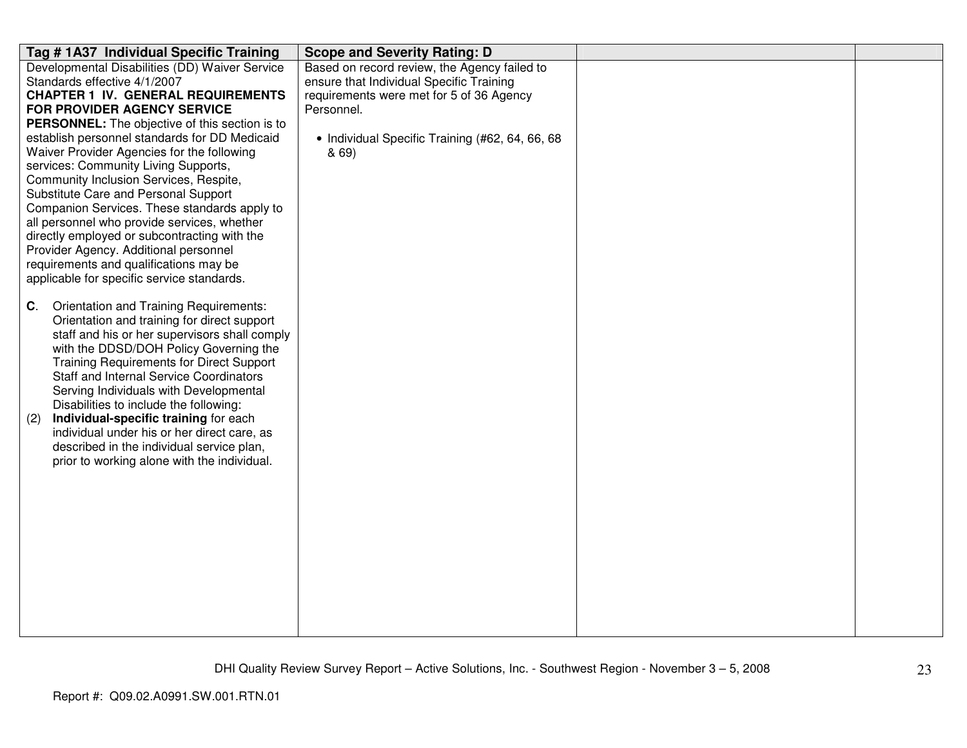| Tag # 1A37 Individual Specific Training                                               | <b>Scope and Severity Rating: D</b>             |  |
|---------------------------------------------------------------------------------------|-------------------------------------------------|--|
| Developmental Disabilities (DD) Waiver Service                                        | Based on record review, the Agency failed to    |  |
| Standards effective 4/1/2007                                                          | ensure that Individual Specific Training        |  |
| <b>CHAPTER 1 IV. GENERAL REQUIREMENTS</b>                                             | requirements were met for 5 of 36 Agency        |  |
| FOR PROVIDER AGENCY SERVICE                                                           | Personnel.                                      |  |
| PERSONNEL: The objective of this section is to                                        |                                                 |  |
| establish personnel standards for DD Medicaid                                         | • Individual Specific Training (#62, 64, 66, 68 |  |
| Waiver Provider Agencies for the following                                            | & 69)                                           |  |
| services: Community Living Supports,                                                  |                                                 |  |
| Community Inclusion Services, Respite,                                                |                                                 |  |
| Substitute Care and Personal Support                                                  |                                                 |  |
| Companion Services. These standards apply to                                          |                                                 |  |
| all personnel who provide services, whether                                           |                                                 |  |
| directly employed or subcontracting with the<br>Provider Agency. Additional personnel |                                                 |  |
| requirements and qualifications may be                                                |                                                 |  |
| applicable for specific service standards.                                            |                                                 |  |
|                                                                                       |                                                 |  |
| Orientation and Training Requirements:<br>C.                                          |                                                 |  |
| Orientation and training for direct support                                           |                                                 |  |
| staff and his or her supervisors shall comply                                         |                                                 |  |
| with the DDSD/DOH Policy Governing the                                                |                                                 |  |
| <b>Training Requirements for Direct Support</b>                                       |                                                 |  |
| <b>Staff and Internal Service Coordinators</b>                                        |                                                 |  |
| Serving Individuals with Developmental                                                |                                                 |  |
| Disabilities to include the following:                                                |                                                 |  |
| Individual-specific training for each<br>(2)                                          |                                                 |  |
| individual under his or her direct care, as                                           |                                                 |  |
| described in the individual service plan,                                             |                                                 |  |
| prior to working alone with the individual.                                           |                                                 |  |
|                                                                                       |                                                 |  |
|                                                                                       |                                                 |  |
|                                                                                       |                                                 |  |
|                                                                                       |                                                 |  |
|                                                                                       |                                                 |  |
|                                                                                       |                                                 |  |
|                                                                                       |                                                 |  |
|                                                                                       |                                                 |  |
|                                                                                       |                                                 |  |
|                                                                                       |                                                 |  |
|                                                                                       |                                                 |  |
|                                                                                       |                                                 |  |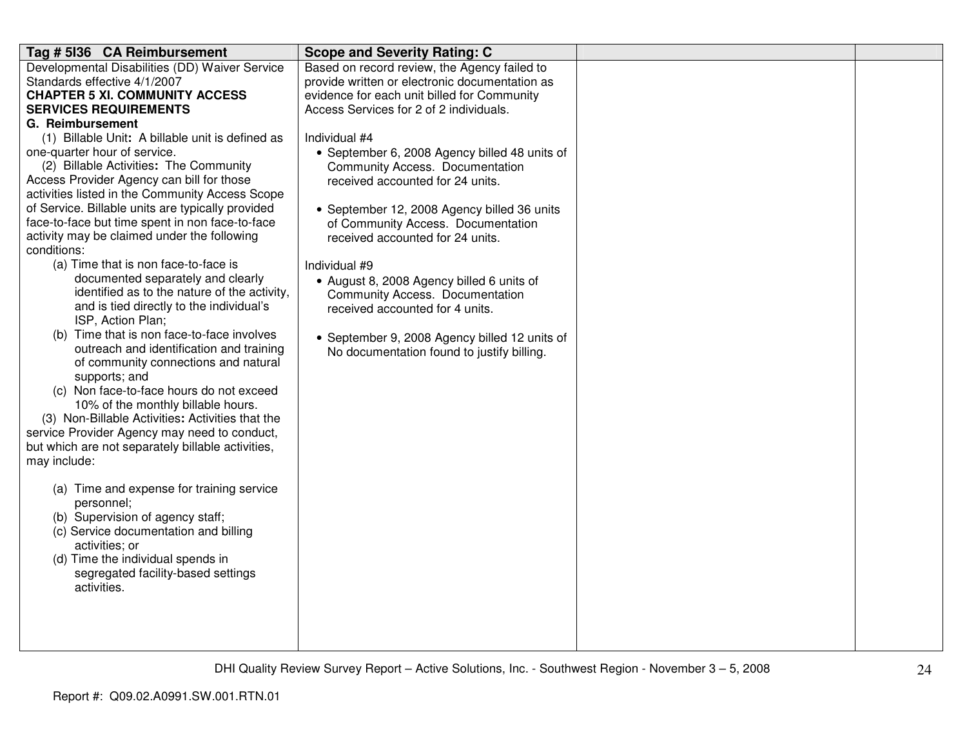| Tag # 5136 CA Reimbursement                                                                                                                                                                                                                                                                               | <b>Scope and Severity Rating: C</b>                                |  |
|-----------------------------------------------------------------------------------------------------------------------------------------------------------------------------------------------------------------------------------------------------------------------------------------------------------|--------------------------------------------------------------------|--|
| Developmental Disabilities (DD) Waiver Service                                                                                                                                                                                                                                                            | Based on record review, the Agency failed to                       |  |
| Standards effective 4/1/2007                                                                                                                                                                                                                                                                              | provide written or electronic documentation as                     |  |
| <b>CHAPTER 5 XI. COMMUNITY ACCESS</b>                                                                                                                                                                                                                                                                     | evidence for each unit billed for Community                        |  |
| <b>SERVICES REQUIREMENTS</b>                                                                                                                                                                                                                                                                              | Access Services for 2 of 2 individuals.                            |  |
| G. Reimbursement                                                                                                                                                                                                                                                                                          |                                                                    |  |
| (1) Billable Unit: A billable unit is defined as                                                                                                                                                                                                                                                          | Individual #4                                                      |  |
| one-quarter hour of service.                                                                                                                                                                                                                                                                              | • September 6, 2008 Agency billed 48 units of                      |  |
| (2) Billable Activities: The Community                                                                                                                                                                                                                                                                    | Community Access. Documentation                                    |  |
| Access Provider Agency can bill for those                                                                                                                                                                                                                                                                 | received accounted for 24 units.                                   |  |
| activities listed in the Community Access Scope                                                                                                                                                                                                                                                           |                                                                    |  |
| of Service. Billable units are typically provided                                                                                                                                                                                                                                                         | • September 12, 2008 Agency billed 36 units                        |  |
| face-to-face but time spent in non face-to-face                                                                                                                                                                                                                                                           | of Community Access. Documentation                                 |  |
| activity may be claimed under the following<br>conditions:                                                                                                                                                                                                                                                | received accounted for 24 units.                                   |  |
| (a) Time that is non face-to-face is                                                                                                                                                                                                                                                                      |                                                                    |  |
| documented separately and clearly                                                                                                                                                                                                                                                                         | Individual #9                                                      |  |
| identified as to the nature of the activity,                                                                                                                                                                                                                                                              | • August 8, 2008 Agency billed 6 units of                          |  |
| and is tied directly to the individual's                                                                                                                                                                                                                                                                  | Community Access. Documentation<br>received accounted for 4 units. |  |
| ISP, Action Plan;                                                                                                                                                                                                                                                                                         |                                                                    |  |
| (b) Time that is non face-to-face involves                                                                                                                                                                                                                                                                | • September 9, 2008 Agency billed 12 units of                      |  |
| outreach and identification and training                                                                                                                                                                                                                                                                  |                                                                    |  |
|                                                                                                                                                                                                                                                                                                           |                                                                    |  |
|                                                                                                                                                                                                                                                                                                           |                                                                    |  |
| (c) Non face-to-face hours do not exceed                                                                                                                                                                                                                                                                  |                                                                    |  |
| 10% of the monthly billable hours.                                                                                                                                                                                                                                                                        |                                                                    |  |
| (3) Non-Billable Activities: Activities that the                                                                                                                                                                                                                                                          |                                                                    |  |
| service Provider Agency may need to conduct,                                                                                                                                                                                                                                                              |                                                                    |  |
| but which are not separately billable activities,                                                                                                                                                                                                                                                         |                                                                    |  |
| may include:                                                                                                                                                                                                                                                                                              |                                                                    |  |
|                                                                                                                                                                                                                                                                                                           |                                                                    |  |
|                                                                                                                                                                                                                                                                                                           |                                                                    |  |
|                                                                                                                                                                                                                                                                                                           |                                                                    |  |
|                                                                                                                                                                                                                                                                                                           |                                                                    |  |
|                                                                                                                                                                                                                                                                                                           |                                                                    |  |
|                                                                                                                                                                                                                                                                                                           |                                                                    |  |
|                                                                                                                                                                                                                                                                                                           |                                                                    |  |
|                                                                                                                                                                                                                                                                                                           |                                                                    |  |
|                                                                                                                                                                                                                                                                                                           |                                                                    |  |
|                                                                                                                                                                                                                                                                                                           |                                                                    |  |
|                                                                                                                                                                                                                                                                                                           |                                                                    |  |
|                                                                                                                                                                                                                                                                                                           |                                                                    |  |
| of community connections and natural<br>supports; and<br>(a) Time and expense for training service<br>personnel;<br>(b) Supervision of agency staff;<br>(c) Service documentation and billing<br>activities; or<br>(d) Time the individual spends in<br>segregated facility-based settings<br>activities. | No documentation found to justify billing.                         |  |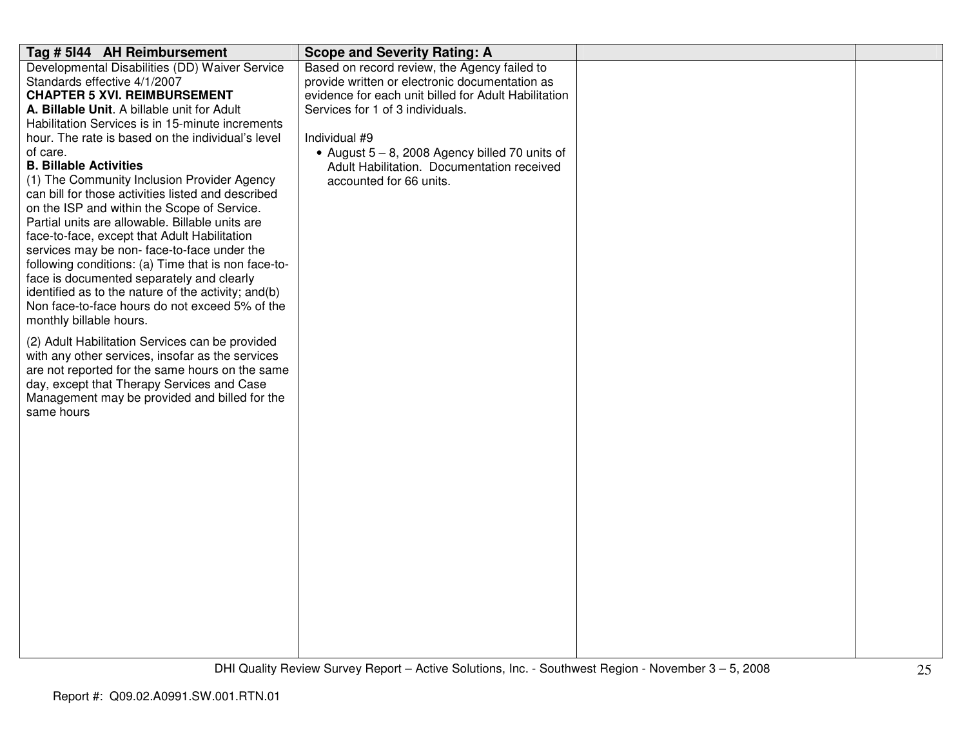| Tag # 5144 AH Reimbursement                                                                 | <b>Scope and Severity Rating: A</b>                  |  |
|---------------------------------------------------------------------------------------------|------------------------------------------------------|--|
| Developmental Disabilities (DD) Waiver Service                                              | Based on record review, the Agency failed to         |  |
| Standards effective 4/1/2007                                                                | provide written or electronic documentation as       |  |
| <b>CHAPTER 5 XVI. REIMBURSEMENT</b>                                                         | evidence for each unit billed for Adult Habilitation |  |
| A. Billable Unit. A billable unit for Adult                                                 | Services for 1 of 3 individuals.                     |  |
| Habilitation Services is in 15-minute increments                                            |                                                      |  |
| hour. The rate is based on the individual's level                                           | Individual #9                                        |  |
| of care.                                                                                    | • August $5 - 8$ , 2008 Agency billed 70 units of    |  |
| <b>B. Billable Activities</b>                                                               | Adult Habilitation. Documentation received           |  |
| (1) The Community Inclusion Provider Agency                                                 | accounted for 66 units.                              |  |
| can bill for those activities listed and described                                          |                                                      |  |
| on the ISP and within the Scope of Service.                                                 |                                                      |  |
| Partial units are allowable. Billable units are                                             |                                                      |  |
| face-to-face, except that Adult Habilitation<br>services may be non-face-to-face under the  |                                                      |  |
| following conditions: (a) Time that is non face-to-                                         |                                                      |  |
| face is documented separately and clearly                                                   |                                                      |  |
| identified as to the nature of the activity; and(b)                                         |                                                      |  |
| Non face-to-face hours do not exceed 5% of the                                              |                                                      |  |
| monthly billable hours.                                                                     |                                                      |  |
|                                                                                             |                                                      |  |
| (2) Adult Habilitation Services can be provided                                             |                                                      |  |
| with any other services, insofar as the services                                            |                                                      |  |
| are not reported for the same hours on the same                                             |                                                      |  |
| day, except that Therapy Services and Case<br>Management may be provided and billed for the |                                                      |  |
| same hours                                                                                  |                                                      |  |
|                                                                                             |                                                      |  |
|                                                                                             |                                                      |  |
|                                                                                             |                                                      |  |
|                                                                                             |                                                      |  |
|                                                                                             |                                                      |  |
|                                                                                             |                                                      |  |
|                                                                                             |                                                      |  |
|                                                                                             |                                                      |  |
|                                                                                             |                                                      |  |
|                                                                                             |                                                      |  |
|                                                                                             |                                                      |  |
|                                                                                             |                                                      |  |
|                                                                                             |                                                      |  |
|                                                                                             |                                                      |  |
|                                                                                             |                                                      |  |
|                                                                                             |                                                      |  |
|                                                                                             |                                                      |  |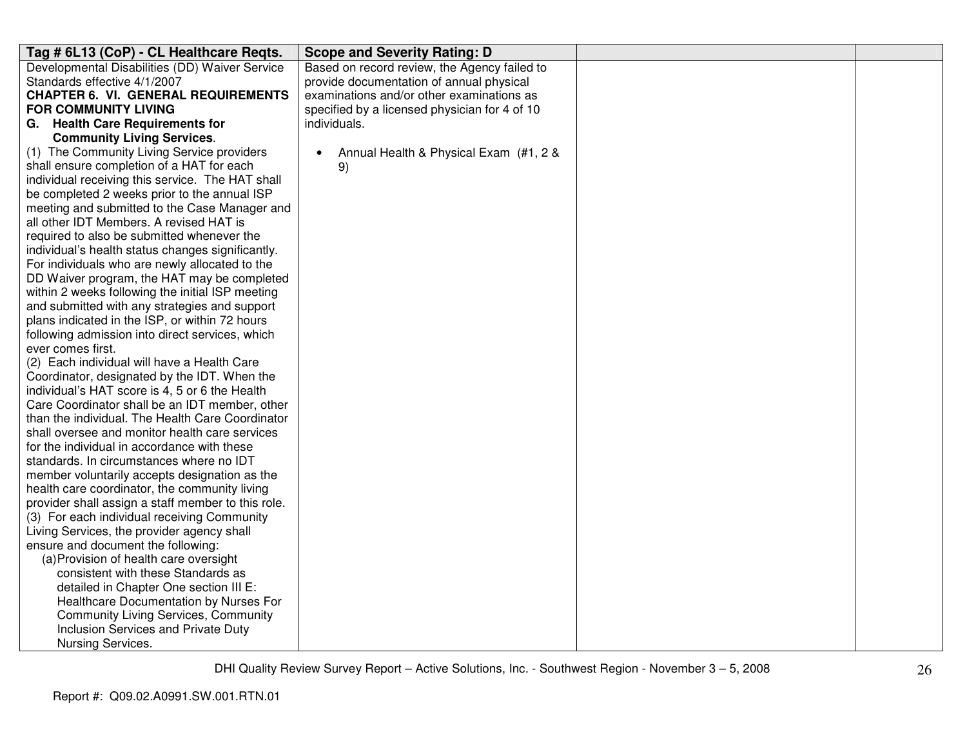| Tag # 6L13 (CoP) - CL Healthcare Regts.                          | <b>Scope and Severity Rating: D</b>                 |  |
|------------------------------------------------------------------|-----------------------------------------------------|--|
| Developmental Disabilities (DD) Waiver Service                   | Based on record review, the Agency failed to        |  |
| Standards effective 4/1/2007                                     | provide documentation of annual physical            |  |
| <b>CHAPTER 6. VI. GENERAL REQUIREMENTS</b>                       | examinations and/or other examinations as           |  |
| <b>FOR COMMUNITY LIVING</b>                                      | specified by a licensed physician for 4 of 10       |  |
| G. Health Care Requirements for                                  | individuals.                                        |  |
| <b>Community Living Services.</b>                                |                                                     |  |
| (1) The Community Living Service providers                       | Annual Health & Physical Exam (#1, 2 &<br>$\bullet$ |  |
| shall ensure completion of a HAT for each                        | 9)                                                  |  |
| individual receiving this service. The HAT shall                 |                                                     |  |
| be completed 2 weeks prior to the annual ISP                     |                                                     |  |
| meeting and submitted to the Case Manager and                    |                                                     |  |
| all other IDT Members. A revised HAT is                          |                                                     |  |
| required to also be submitted whenever the                       |                                                     |  |
| individual's health status changes significantly.                |                                                     |  |
| For individuals who are newly allocated to the                   |                                                     |  |
| DD Waiver program, the HAT may be completed                      |                                                     |  |
| within 2 weeks following the initial ISP meeting                 |                                                     |  |
| and submitted with any strategies and support                    |                                                     |  |
| plans indicated in the ISP, or within 72 hours                   |                                                     |  |
| following admission into direct services, which                  |                                                     |  |
| ever comes first.<br>(2) Each individual will have a Health Care |                                                     |  |
| Coordinator, designated by the IDT. When the                     |                                                     |  |
| individual's HAT score is 4, 5 or 6 the Health                   |                                                     |  |
| Care Coordinator shall be an IDT member, other                   |                                                     |  |
| than the individual. The Health Care Coordinator                 |                                                     |  |
| shall oversee and monitor health care services                   |                                                     |  |
| for the individual in accordance with these                      |                                                     |  |
| standards. In circumstances where no IDT                         |                                                     |  |
| member voluntarily accepts designation as the                    |                                                     |  |
| health care coordinator, the community living                    |                                                     |  |
| provider shall assign a staff member to this role.               |                                                     |  |
| (3) For each individual receiving Community                      |                                                     |  |
| Living Services, the provider agency shall                       |                                                     |  |
| ensure and document the following:                               |                                                     |  |
| (a) Provision of health care oversight                           |                                                     |  |
| consistent with these Standards as                               |                                                     |  |
| detailed in Chapter One section III E:                           |                                                     |  |
| Healthcare Documentation by Nurses For                           |                                                     |  |
| <b>Community Living Services, Community</b>                      |                                                     |  |
| Inclusion Services and Private Duty                              |                                                     |  |
| Nursing Services.                                                |                                                     |  |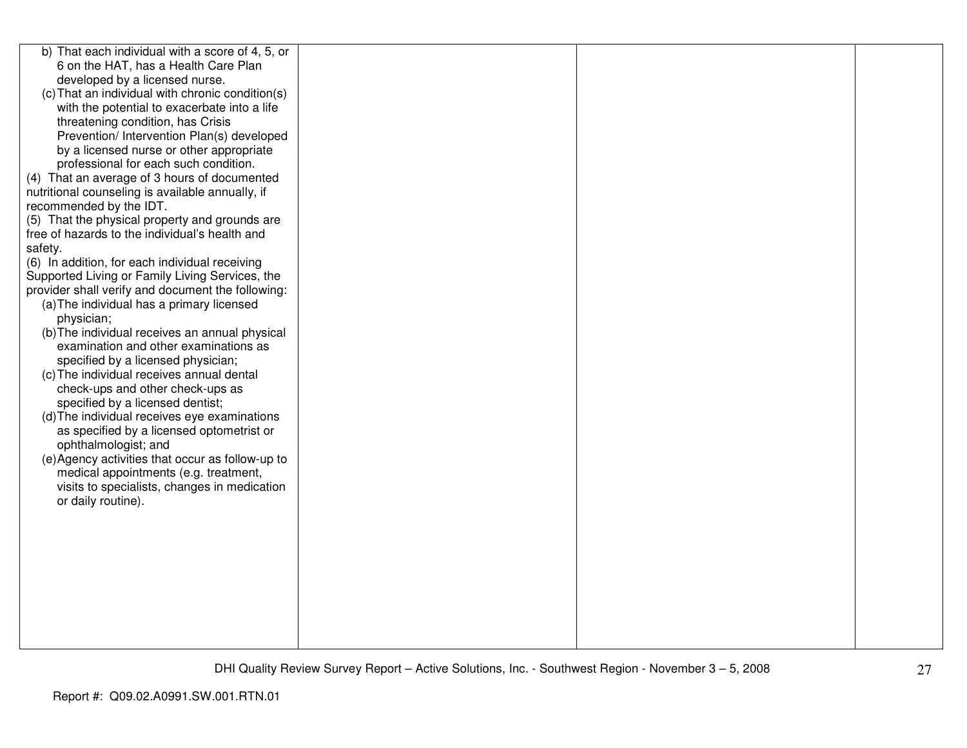| b) That each individual with a score of 4, 5, or  |  |  |
|---------------------------------------------------|--|--|
| 6 on the HAT, has a Health Care Plan              |  |  |
| developed by a licensed nurse.                    |  |  |
| (c) That an individual with chronic condition(s)  |  |  |
| with the potential to exacerbate into a life      |  |  |
| threatening condition, has Crisis                 |  |  |
| Prevention/ Intervention Plan(s) developed        |  |  |
| by a licensed nurse or other appropriate          |  |  |
| professional for each such condition.             |  |  |
| (4) That an average of 3 hours of documented      |  |  |
| nutritional counseling is available annually, if  |  |  |
| recommended by the IDT.                           |  |  |
| (5) That the physical property and grounds are    |  |  |
| free of hazards to the individual's health and    |  |  |
| safety.                                           |  |  |
| (6) In addition, for each individual receiving    |  |  |
| Supported Living or Family Living Services, the   |  |  |
| provider shall verify and document the following: |  |  |
| (a) The individual has a primary licensed         |  |  |
| physician;                                        |  |  |
| (b) The individual receives an annual physical    |  |  |
| examination and other examinations as             |  |  |
| specified by a licensed physician;                |  |  |
| (c) The individual receives annual dental         |  |  |
| check-ups and other check-ups as                  |  |  |
| specified by a licensed dentist;                  |  |  |
| (d) The individual receives eye examinations      |  |  |
| as specified by a licensed optometrist or         |  |  |
| ophthalmologist; and                              |  |  |
| (e) Agency activities that occur as follow-up to  |  |  |
| medical appointments (e.g. treatment,             |  |  |
| visits to specialists, changes in medication      |  |  |
| or daily routine).                                |  |  |
|                                                   |  |  |
|                                                   |  |  |
|                                                   |  |  |
|                                                   |  |  |
|                                                   |  |  |
|                                                   |  |  |
|                                                   |  |  |
|                                                   |  |  |
|                                                   |  |  |
|                                                   |  |  |
|                                                   |  |  |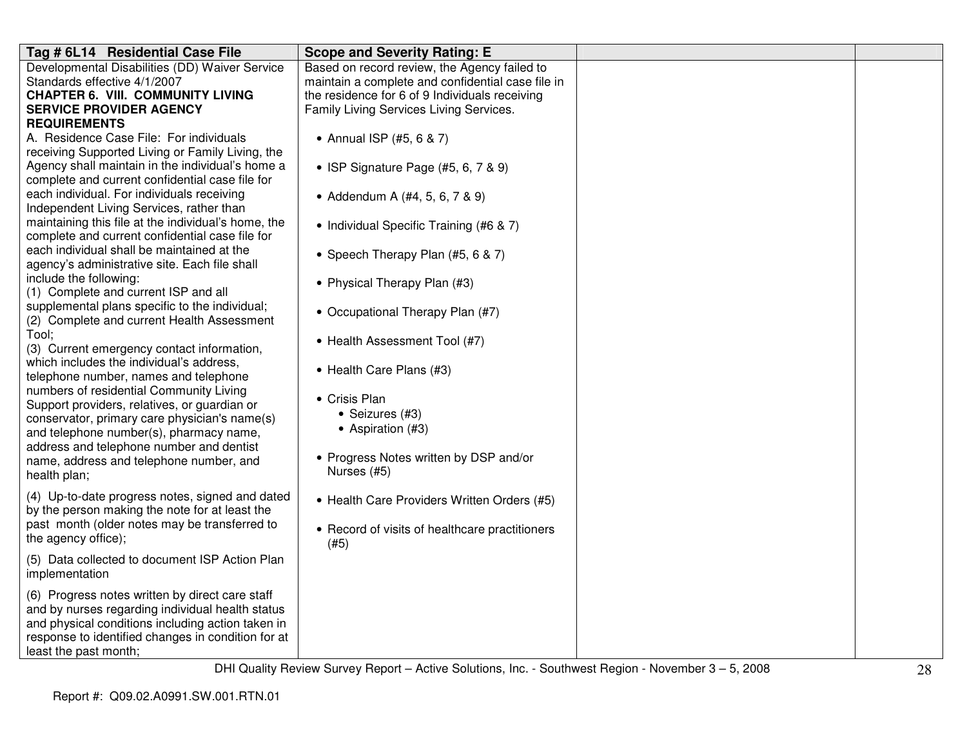| Tag # 6L14 Residential Case File                    | <b>Scope and Severity Rating: E</b>               |  |
|-----------------------------------------------------|---------------------------------------------------|--|
| Developmental Disabilities (DD) Waiver Service      | Based on record review, the Agency failed to      |  |
| Standards effective 4/1/2007                        | maintain a complete and confidential case file in |  |
| <b>CHAPTER 6. VIII. COMMUNITY LIVING</b>            | the residence for 6 of 9 Individuals receiving    |  |
| <b>SERVICE PROVIDER AGENCY</b>                      | Family Living Services Living Services.           |  |
| <b>REQUIREMENTS</b>                                 |                                                   |  |
| A. Residence Case File: For individuals             | • Annual ISP (#5, 6 & 7)                          |  |
| receiving Supported Living or Family Living, the    |                                                   |  |
| Agency shall maintain in the individual's home a    | • ISP Signature Page (#5, 6, 7 & 9)               |  |
| complete and current confidential case file for     |                                                   |  |
| each individual. For individuals receiving          | • Addendum A (#4, 5, 6, 7 & 9)                    |  |
| Independent Living Services, rather than            |                                                   |  |
| maintaining this file at the individual's home, the | • Individual Specific Training (#6 & 7)           |  |
| complete and current confidential case file for     |                                                   |  |
| each individual shall be maintained at the          | • Speech Therapy Plan (#5, 6 & 7)                 |  |
| agency's administrative site. Each file shall       |                                                   |  |
| include the following:                              | • Physical Therapy Plan (#3)                      |  |
| (1) Complete and current ISP and all                |                                                   |  |
| supplemental plans specific to the individual;      | • Occupational Therapy Plan (#7)                  |  |
| (2) Complete and current Health Assessment          |                                                   |  |
| Tool;                                               | • Health Assessment Tool (#7)                     |  |
| (3) Current emergency contact information,          |                                                   |  |
| which includes the individual's address,            |                                                   |  |
| telephone number, names and telephone               | • Health Care Plans (#3)                          |  |
| numbers of residential Community Living             |                                                   |  |
| Support providers, relatives, or guardian or        | • Crisis Plan                                     |  |
| conservator, primary care physician's name(s)       | • Seizures (#3)                                   |  |
| and telephone number(s), pharmacy name,             | • Aspiration (#3)                                 |  |
| address and telephone number and dentist            |                                                   |  |
| name, address and telephone number, and             | • Progress Notes written by DSP and/or            |  |
| health plan;                                        | Nurses (#5)                                       |  |
|                                                     |                                                   |  |
| (4) Up-to-date progress notes, signed and dated     | • Health Care Providers Written Orders (#5)       |  |
| by the person making the note for at least the      |                                                   |  |
| past month (older notes may be transferred to       | • Record of visits of healthcare practitioners    |  |
| the agency office);                                 | (#5)                                              |  |
| (5) Data collected to document ISP Action Plan      |                                                   |  |
| implementation                                      |                                                   |  |
|                                                     |                                                   |  |
| (6) Progress notes written by direct care staff     |                                                   |  |
| and by nurses regarding individual health status    |                                                   |  |
| and physical conditions including action taken in   |                                                   |  |
| response to identified changes in condition for at  |                                                   |  |
| least the past month;                               |                                                   |  |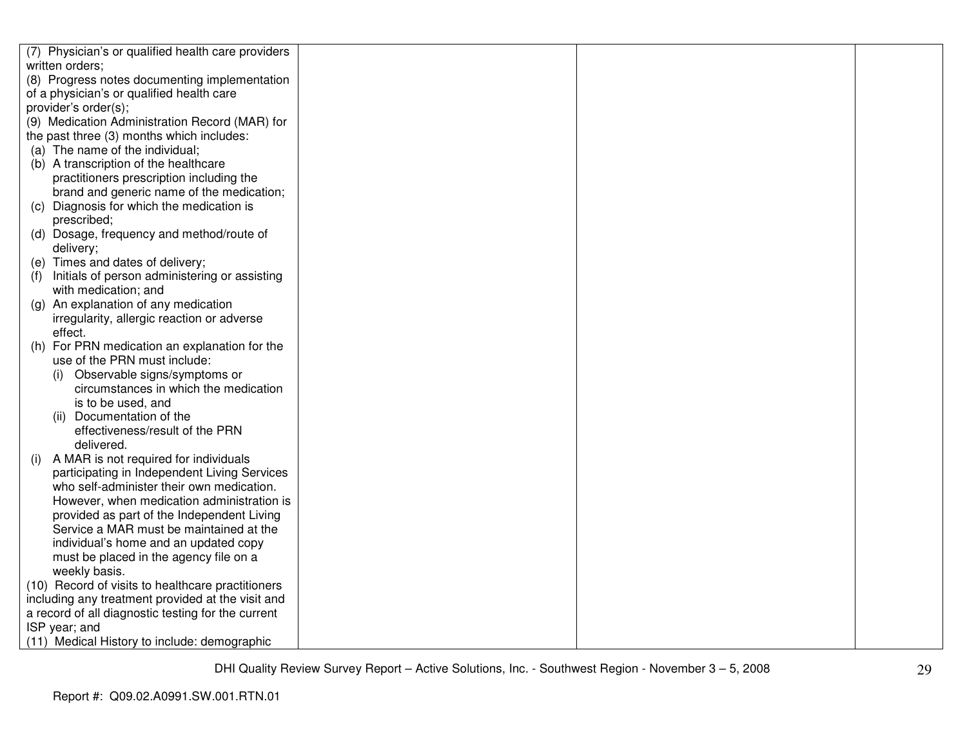|     | (7) Physician's or qualified health care providers                                                                  |  |  |
|-----|---------------------------------------------------------------------------------------------------------------------|--|--|
|     | written orders;                                                                                                     |  |  |
|     | (8) Progress notes documenting implementation                                                                       |  |  |
|     | of a physician's or qualified health care                                                                           |  |  |
|     | provider's order(s);                                                                                                |  |  |
|     | (9) Medication Administration Record (MAR) for                                                                      |  |  |
|     | the past three (3) months which includes:                                                                           |  |  |
|     | (a) The name of the individual;                                                                                     |  |  |
|     | (b) A transcription of the healthcare                                                                               |  |  |
|     | practitioners prescription including the                                                                            |  |  |
|     | brand and generic name of the medication;                                                                           |  |  |
|     | (c) Diagnosis for which the medication is                                                                           |  |  |
|     | prescribed;                                                                                                         |  |  |
|     | (d) Dosage, frequency and method/route of                                                                           |  |  |
|     | delivery;                                                                                                           |  |  |
|     | (e) Times and dates of delivery;                                                                                    |  |  |
| (f) | Initials of person administering or assisting                                                                       |  |  |
|     | with medication; and                                                                                                |  |  |
|     | (g) An explanation of any medication                                                                                |  |  |
|     | irregularity, allergic reaction or adverse                                                                          |  |  |
|     | effect.                                                                                                             |  |  |
|     | (h) For PRN medication an explanation for the                                                                       |  |  |
|     | use of the PRN must include:                                                                                        |  |  |
|     | (i) Observable signs/symptoms or                                                                                    |  |  |
|     | circumstances in which the medication                                                                               |  |  |
|     | is to be used, and                                                                                                  |  |  |
|     | (ii) Documentation of the                                                                                           |  |  |
|     | effectiveness/result of the PRN                                                                                     |  |  |
|     | delivered.                                                                                                          |  |  |
| (i) | A MAR is not required for individuals                                                                               |  |  |
|     | participating in Independent Living Services                                                                        |  |  |
|     | who self-administer their own medication.                                                                           |  |  |
|     | However, when medication administration is                                                                          |  |  |
|     | provided as part of the Independent Living                                                                          |  |  |
|     | Service a MAR must be maintained at the                                                                             |  |  |
|     | individual's home and an updated copy                                                                               |  |  |
|     | must be placed in the agency file on a                                                                              |  |  |
|     | weekly basis.                                                                                                       |  |  |
|     | (10) Record of visits to healthcare practitioners<br>including any treatment provided at the visit and              |  |  |
|     |                                                                                                                     |  |  |
|     |                                                                                                                     |  |  |
|     |                                                                                                                     |  |  |
|     | a record of all diagnostic testing for the current<br>ISP year; and<br>(11) Medical History to include: demographic |  |  |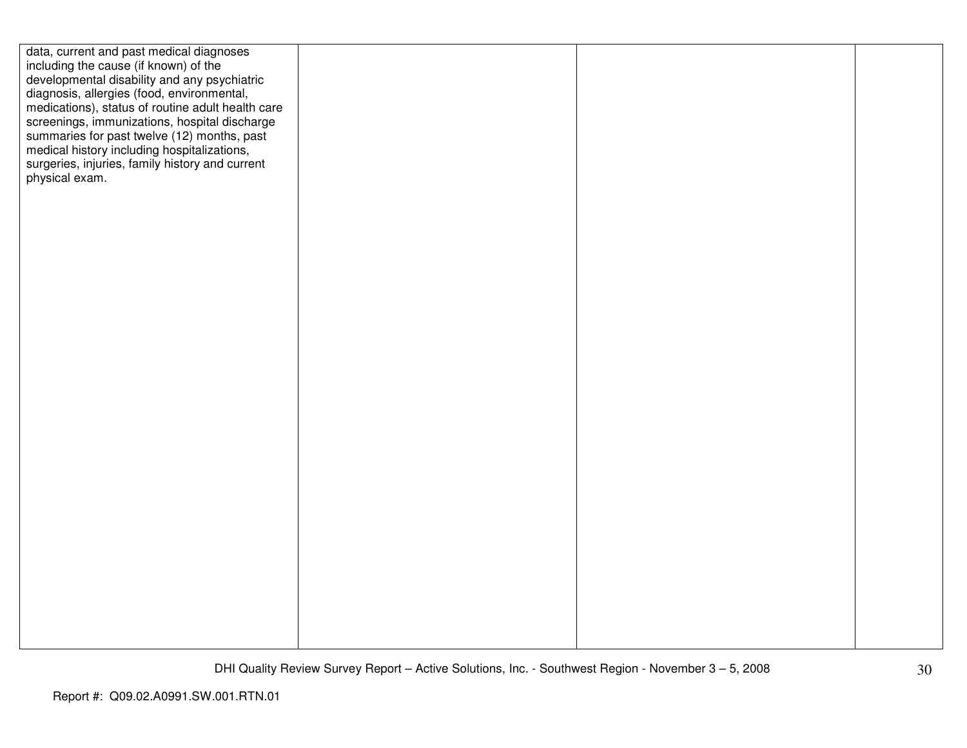| data, current and past medical diagnoses          |  |  |
|---------------------------------------------------|--|--|
| including the cause (if known) of the             |  |  |
| developmental disability and any psychiatric      |  |  |
|                                                   |  |  |
| diagnosis, allergies (food, environmental,        |  |  |
| medications), status of routine adult health care |  |  |
| screenings, immunizations, hospital discharge     |  |  |
| summaries for past twelve (12) months, past       |  |  |
| medical history including hospitalizations,       |  |  |
| surgeries, injuries, family history and current   |  |  |
| physical exam.                                    |  |  |
|                                                   |  |  |
|                                                   |  |  |
|                                                   |  |  |
|                                                   |  |  |
|                                                   |  |  |
|                                                   |  |  |
|                                                   |  |  |
|                                                   |  |  |
|                                                   |  |  |
|                                                   |  |  |
|                                                   |  |  |
|                                                   |  |  |
|                                                   |  |  |
|                                                   |  |  |
|                                                   |  |  |
|                                                   |  |  |
|                                                   |  |  |
|                                                   |  |  |
|                                                   |  |  |
|                                                   |  |  |
|                                                   |  |  |
|                                                   |  |  |
|                                                   |  |  |
|                                                   |  |  |
|                                                   |  |  |
|                                                   |  |  |
|                                                   |  |  |
|                                                   |  |  |
|                                                   |  |  |
|                                                   |  |  |
|                                                   |  |  |
|                                                   |  |  |
|                                                   |  |  |
|                                                   |  |  |
|                                                   |  |  |
|                                                   |  |  |
|                                                   |  |  |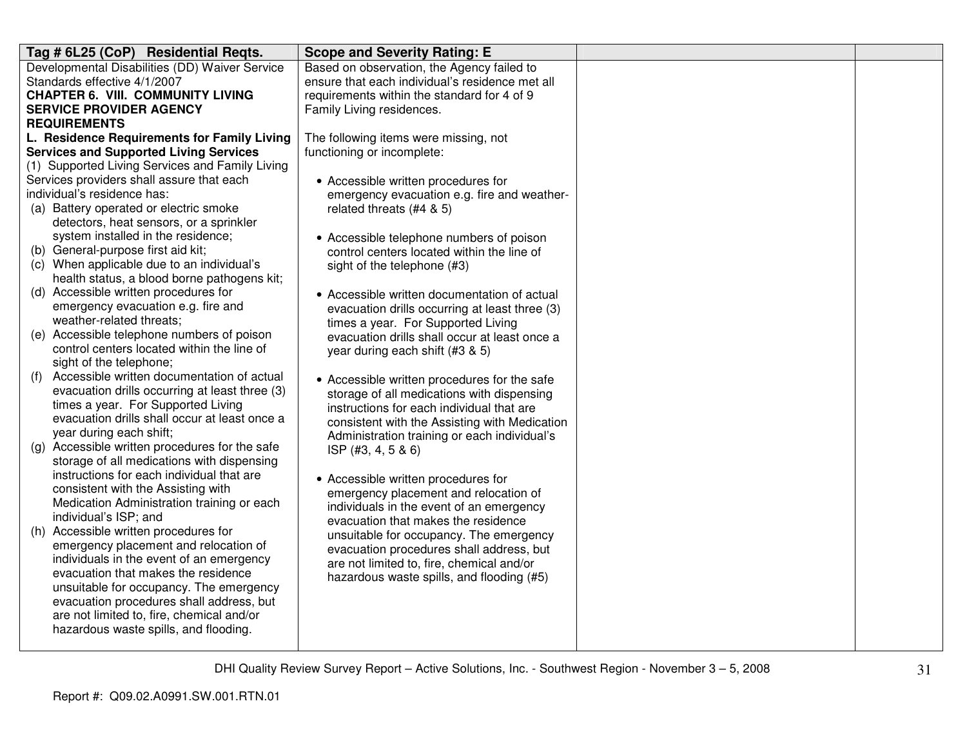| Tag # 6L25 (CoP) Residential Reqts.                                               | <b>Scope and Severity Rating: E</b>             |  |
|-----------------------------------------------------------------------------------|-------------------------------------------------|--|
| Developmental Disabilities (DD) Waiver Service                                    | Based on observation, the Agency failed to      |  |
| Standards effective 4/1/2007                                                      | ensure that each individual's residence met all |  |
| <b>CHAPTER 6. VIII. COMMUNITY LIVING</b>                                          | requirements within the standard for 4 of 9     |  |
| <b>SERVICE PROVIDER AGENCY</b>                                                    | Family Living residences.                       |  |
| <b>REQUIREMENTS</b>                                                               |                                                 |  |
| L. Residence Requirements for Family Living                                       | The following items were missing, not           |  |
| <b>Services and Supported Living Services</b>                                     | functioning or incomplete:                      |  |
| (1) Supported Living Services and Family Living                                   |                                                 |  |
| Services providers shall assure that each                                         | • Accessible written procedures for             |  |
| individual's residence has:                                                       | emergency evacuation e.g. fire and weather-     |  |
| (a) Battery operated or electric smoke                                            | related threats (#4 & 5)                        |  |
| detectors, heat sensors, or a sprinkler                                           |                                                 |  |
| system installed in the residence;                                                | • Accessible telephone numbers of poison        |  |
| (b) General-purpose first aid kit;                                                | control centers located within the line of      |  |
| (c) When applicable due to an individual's                                        | sight of the telephone (#3)                     |  |
| health status, a blood borne pathogens kit;                                       |                                                 |  |
| (d) Accessible written procedures for                                             | • Accessible written documentation of actual    |  |
| emergency evacuation e.g. fire and                                                | evacuation drills occurring at least three (3)  |  |
| weather-related threats;                                                          | times a year. For Supported Living              |  |
| (e) Accessible telephone numbers of poison                                        | evacuation drills shall occur at least once a   |  |
| control centers located within the line of                                        | year during each shift (#3 & 5)                 |  |
| sight of the telephone;                                                           |                                                 |  |
| Accessible written documentation of actual<br>(f)                                 | • Accessible written procedures for the safe    |  |
| evacuation drills occurring at least three (3)                                    | storage of all medications with dispensing      |  |
| times a year. For Supported Living                                                | instructions for each individual that are       |  |
| evacuation drills shall occur at least once a                                     | consistent with the Assisting with Medication   |  |
| year during each shift;                                                           | Administration training or each individual's    |  |
| (g) Accessible written procedures for the safe                                    | ISP $(#3, 4, 5 & 6)$                            |  |
| storage of all medications with dispensing                                        |                                                 |  |
| instructions for each individual that are                                         | • Accessible written procedures for             |  |
| consistent with the Assisting with                                                | emergency placement and relocation of           |  |
| Medication Administration training or each                                        | individuals in the event of an emergency        |  |
| individual's ISP; and                                                             | evacuation that makes the residence             |  |
| (h) Accessible written procedures for                                             | unsuitable for occupancy. The emergency         |  |
| emergency placement and relocation of<br>individuals in the event of an emergency | evacuation procedures shall address, but        |  |
|                                                                                   | are not limited to, fire, chemical and/or       |  |
| evacuation that makes the residence                                               | hazardous waste spills, and flooding (#5)       |  |
| unsuitable for occupancy. The emergency                                           |                                                 |  |
| evacuation procedures shall address, but                                          |                                                 |  |
| are not limited to, fire, chemical and/or                                         |                                                 |  |
| hazardous waste spills, and flooding.                                             |                                                 |  |
|                                                                                   |                                                 |  |